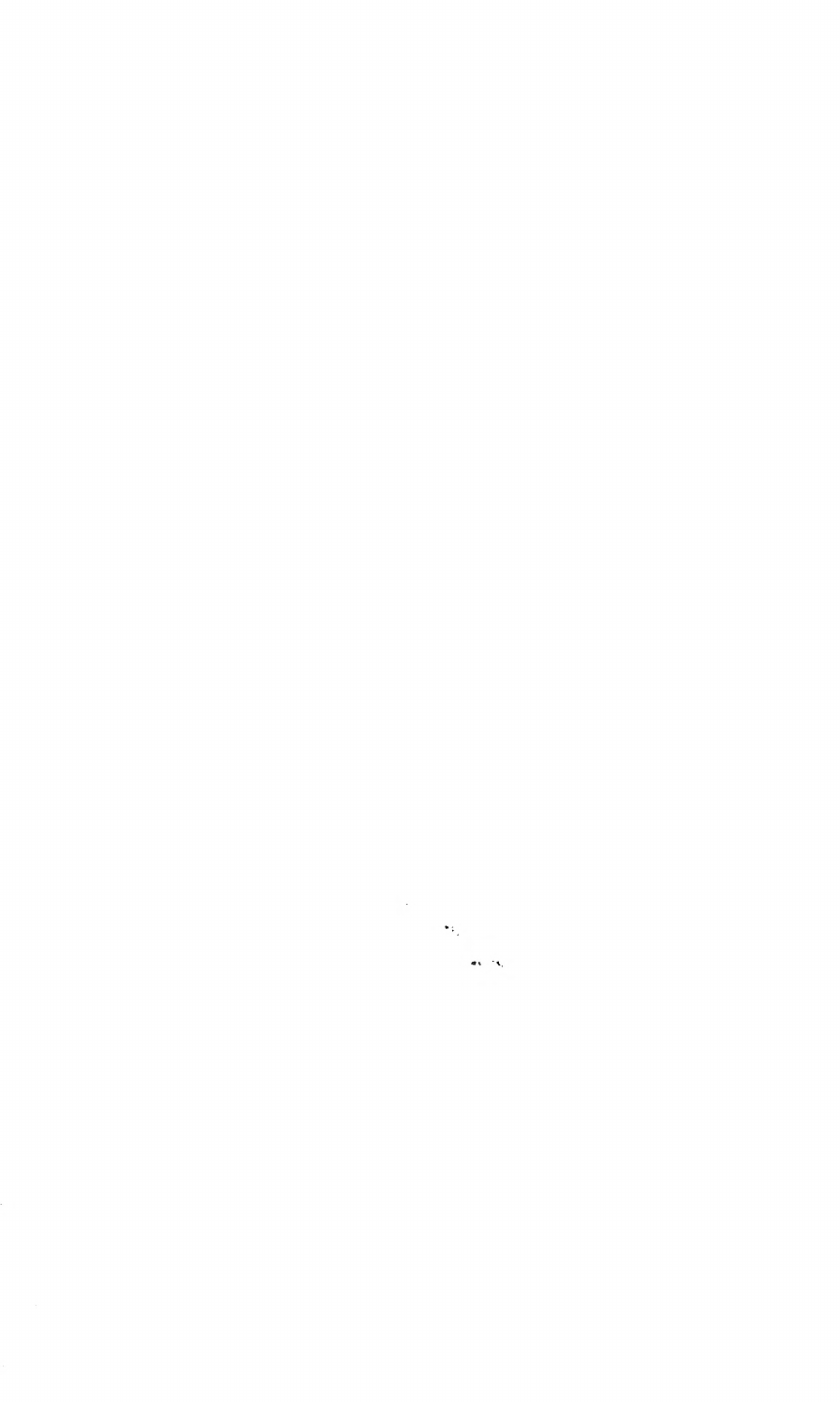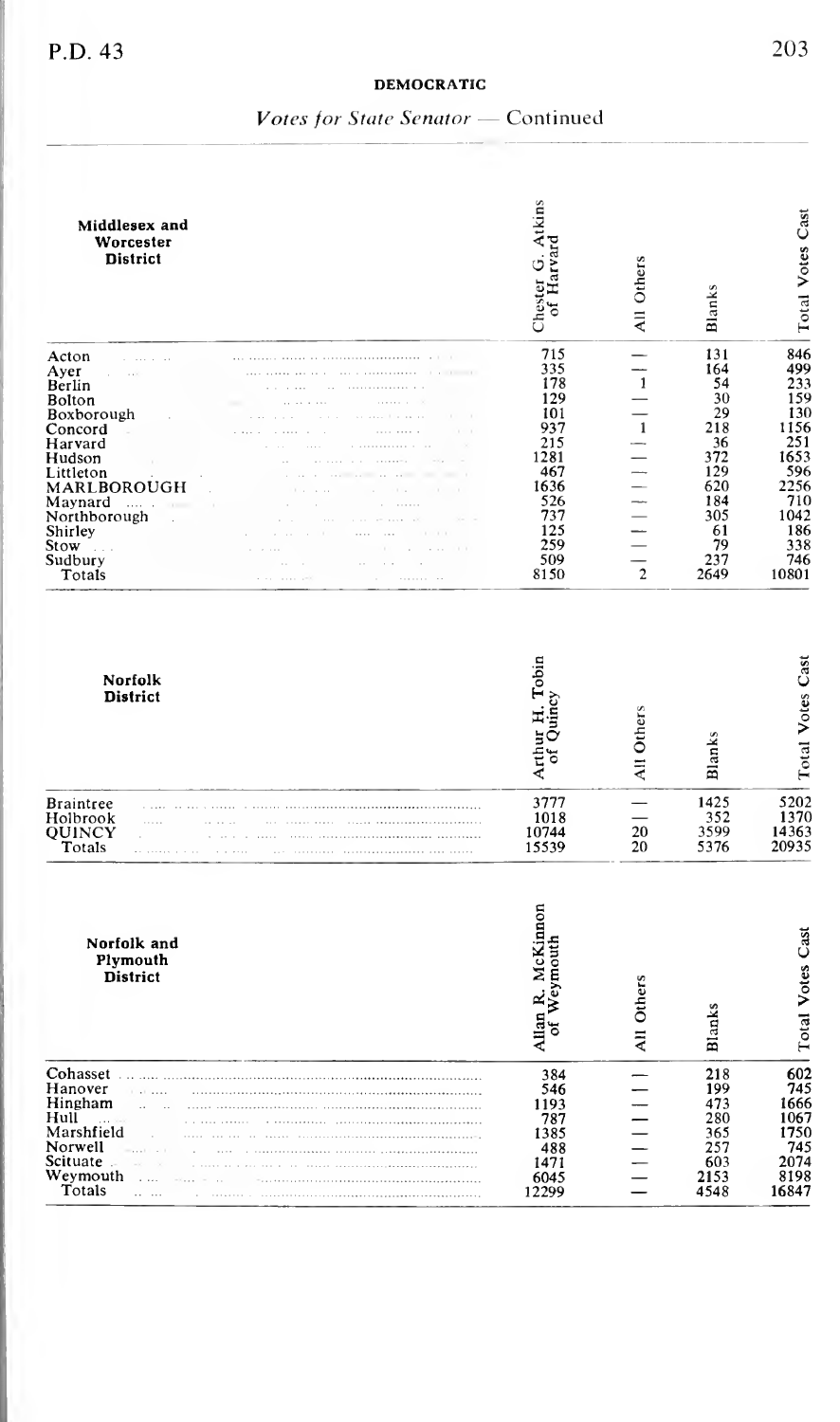| Middlesex and<br>Worcester<br><b>District</b>                                                                                                                                                                                                                                  | Chester G. Atkins<br>of Harvard                                                                                 | All Others                                                               | Blanks                                                                                                  | Total Votes Cast                                                                                                   |
|--------------------------------------------------------------------------------------------------------------------------------------------------------------------------------------------------------------------------------------------------------------------------------|-----------------------------------------------------------------------------------------------------------------|--------------------------------------------------------------------------|---------------------------------------------------------------------------------------------------------|--------------------------------------------------------------------------------------------------------------------|
| Acton<br>Ayer<br>Berlin<br>Bolton<br>Boxborough<br>and a state of the<br>Concord<br>.<br>Harvard<br>Hudson<br>Littleton<br>MARLBOROUGH<br>Maynard<br>$\sim$<br>o con<br>Northborough<br>$\sim$ $\sim$<br>i,<br>Shirley<br>$\sim$ $\sim$<br>$\sim$<br>Stow<br>Sudbury<br>Totals | 715<br>335<br>178<br>129<br>101<br>937<br>215<br>1281<br>467<br>1636<br>526<br>737<br>125<br>259<br>509<br>8150 | $\mathbf{1}$<br>$\mathbf 1$<br>$\frac{-}{1}$ $\frac{-}{1}$ $\frac{-}{2}$ | 131<br>164<br>54<br>30<br>29<br>218<br>36<br>372<br>129<br>620<br>184<br>305<br>61<br>79<br>237<br>2649 | 846<br>499<br>233<br>159<br>130<br>1156<br>251<br>1653<br>596<br>2256<br>710<br>1042<br>186<br>338<br>746<br>10801 |
| Norfolk<br><b>District</b>                                                                                                                                                                                                                                                     | Arthur H. Tobin<br>Quincy<br>ð                                                                                  | All Others                                                               | Blanks                                                                                                  | Total Votes Cast                                                                                                   |
| <b>Braintree</b><br>Holbrook<br>the control of the control of the control of the control of the control of the control of<br>QUINCY<br>the contract of the contract of the<br>Totals<br><b>Contract</b>                                                                        | 3777<br>1018<br>10744<br>15539                                                                                  | 20<br>20                                                                 | 1425<br>352<br>3599<br>5376                                                                             | 5202<br>1370<br>14363<br>20935                                                                                     |
| Norfolk and<br>Plymouth<br>District                                                                                                                                                                                                                                            | Allan R. McKinnon<br>of Weymouth                                                                                | All Others                                                               | Blanks                                                                                                  | <b>Total Votes Cast</b>                                                                                            |
| Cohasset<br>Hanover<br>the contract of the contract of the contract of the contract of the contract of<br>Hingham<br>Hull<br>Marshfield<br>Norwell<br>Scituate<br>a como es a construír e como estado especies experimentos en experimentos<br>Weymouth<br>Totals<br>11.11     | 384<br>546<br>1193<br>787<br>1385<br>488<br>1471<br>6045<br>12299                                               |                                                                          | 218<br>199<br>473<br>280<br>365<br>257<br>603<br>2153<br>4548                                           | 602<br>745<br>1666<br>1067<br>1750<br>745<br>2074<br>8198<br>16847                                                 |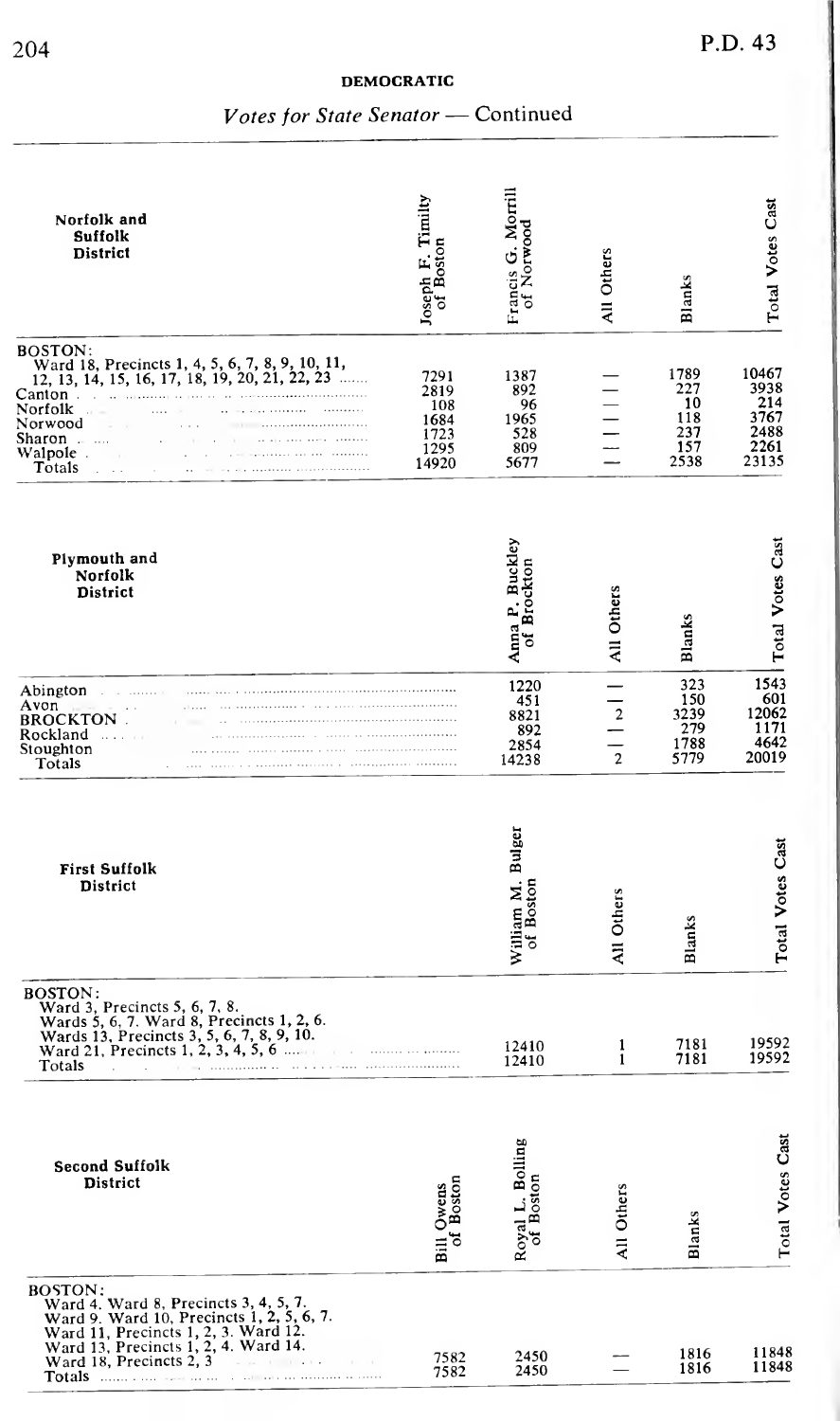Total Votes Cast

19592<br>19592

Total Votes Cast

11848<br>11848

1816<br>1816

Ξ

2450<br>2450

| Norfolk and<br>Suffolk<br>District                                                                                                                                                                                                                                                                                                                           | Joseph F. Timilty<br>of Boston                       | Francis G. Morrill<br>of Norwood                | All Others                     | Blanks                                                       | Total Votes Cast                                              |
|--------------------------------------------------------------------------------------------------------------------------------------------------------------------------------------------------------------------------------------------------------------------------------------------------------------------------------------------------------------|------------------------------------------------------|-------------------------------------------------|--------------------------------|--------------------------------------------------------------|---------------------------------------------------------------|
| <b>BOSTON:</b><br>Ward 18, Precincts 1, 4, 5, 6, 7, 8, 9, 10, 11,<br>12, 13, 14, 15, 16, 17, 18, 19, 20, 21, 22, 23<br>$\alpha$ , a second or positive in the intermediate components<br>Canton<br>Norfolk<br>Norwood<br>Sharon<br>a companies and summer<br>Walpole.<br>a component and an international<br>Totals<br>a a manara manara<br>$\sim$<br>$\sim$ | 7291<br>2819<br>108<br>1684<br>1723<br>1295<br>14920 | 1387<br>892<br>96<br>1965<br>528<br>809<br>5677 | $\frac{1}{1}$                  | 1789<br>$\frac{227}{10}$<br>$\frac{118}{237}$<br>157<br>2538 | 10467<br>3938<br>214<br>3767<br>2488<br>2261<br>3135<br>23135 |
| Plymouth and<br>Norfolk<br>District                                                                                                                                                                                                                                                                                                                          |                                                      | Anna P. Buckley<br>of Brockton                  | All Others                     | <b>Blanks</b>                                                | Total Votes Cast                                              |
| Abington<br>and an international contract of the complete contract of the<br>Avon<br>BROCKTON<br>Rockland<br>Stoughton<br>Totals                                                                                                                                                                                                                             |                                                      | 1220<br>451<br>8821<br>892<br>2854<br>14238     | $\frac{-}{2}$<br>$\frac{-}{2}$ | 323<br>$\frac{150}{3239}$<br>$\frac{279}{1788}$<br>5779      | 1543<br>601<br>12062<br>4642<br>20019                         |
| <b>First Suffolk</b><br>District                                                                                                                                                                                                                                                                                                                             |                                                      | William M. Bulger<br>of Boston                  | All Others                     | Blanks                                                       | <b>Total Votes Cast</b>                                       |
| <b>BOSTON:</b><br>USICIN.<br>Ward 3, Precincts 5, 6, 7, 8.<br>Wards 5, 6, 7, Ward 8, Precincts 1, 2, 6.<br>Wards 13, Precincts 3, 5, 6, 7, 8, 9, 10.<br>Ward 21, Precincts 1, 2, 3, 4, 5, 6<br>Totals                                                                                                                                                        |                                                      | 12410<br>12410                                  | $\frac{1}{1}$                  | 7181<br>7181                                                 | 19592<br>19592                                                |
| <b>Second Suffolk</b><br>District                                                                                                                                                                                                                                                                                                                            | <b>Bill Owens</b><br>of Boston                       | Royal L. Bolling<br>of Boston                   | All Others                     | Blanks                                                       | Total Votes Cast                                              |

#### Votes for State Senator — Continued

7582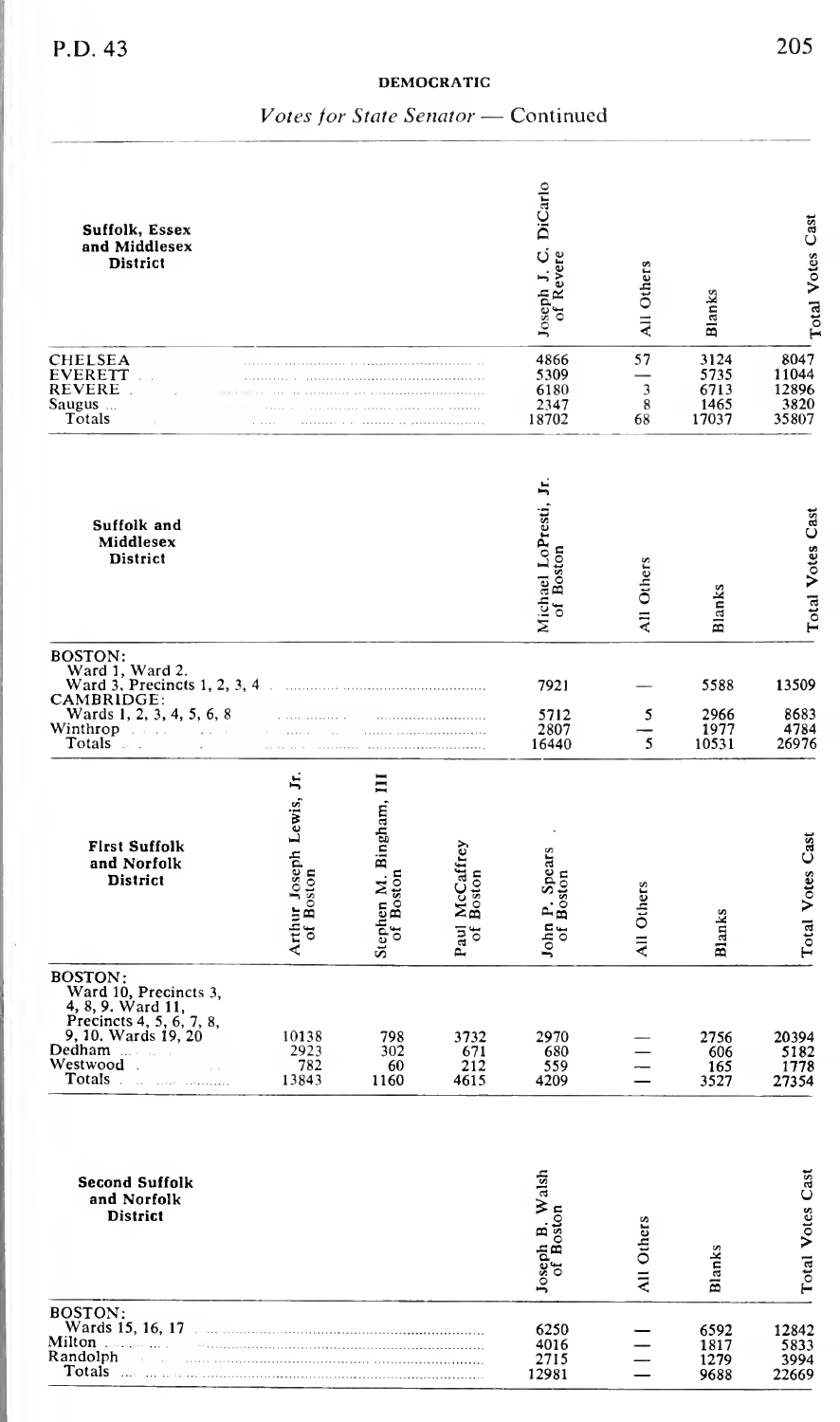| Suffolk, Essex<br>and Middlesex<br><b>District</b><br>CHELSEA                                                                                                                                                   |                                       |                                      |                                   | Joseph J. C. DiCarlo<br>of Revere<br>4866 | All Others<br>57    | Blanks<br>3124                    | Total Votes Cast<br>$\frac{8047}{11044}$ |
|-----------------------------------------------------------------------------------------------------------------------------------------------------------------------------------------------------------------|---------------------------------------|--------------------------------------|-----------------------------------|-------------------------------------------|---------------------|-----------------------------------|------------------------------------------|
| <b>EVERETT</b><br>REVERE<br>Saugus<br>Totals                                                                                                                                                                    | $\mathcal{L}$                         |                                      |                                   | 5309<br>6180<br>2347<br>18702             | $\frac{1}{8}$<br>68 | 5735<br>6713<br>1465              | 12896<br>3820<br>35807                   |
| Suffolk and<br>Middlesex<br><b>District</b>                                                                                                                                                                     |                                       |                                      |                                   | Michael LoPresti, Jr.<br>of Boston        | All Others          | Blanks                            | <b>Total Votes Cast</b>                  |
| BOSTON:<br>Ward 1, Ward 2.<br>Ward 3, Precincts 1, 2, 3, 4<br>CAMBRIDGE:<br>Wards 1, 2, 3, 4, 5, 6, 8                                                                                                           |                                       |                                      |                                   | 7921                                      |                     | 5588                              | 13509                                    |
| Winthrop<br>ł,<br>$\sim$<br>$\mathcal{L}_{\mathrm{c}}$<br>Totals<br>÷.<br>ł.                                                                                                                                    | a a sa                                |                                      |                                   | 5712<br>2807<br>16440                     | 5<br>5              | 2966<br>1977<br>10531             | 8683<br>4784<br>26976                    |
| <b>First Suffolk</b><br>and Norfolk<br>District                                                                                                                                                                 | Arthur Joseph Lewis, Jr.<br>of Boston | Stephen M. Bingham, III<br>of Boston | Paul McCaffrey<br>Boston<br>ð     | John P. Spears<br>of Boston               | All Others          | Blanks                            | Total Votes Cast                         |
| <b>BOSTON:</b><br>Ward 10, Precincts 3,<br>4, 8, 9. Ward 11,<br>Precincts 4, 5, 6, 7, 8,<br>9, 10. Wards 19, 20<br>Dedham<br>Westwood<br>$\mathbf{r} \rightarrow \mathbf{r}$<br>Totals<br>$\alpha$ and $\alpha$ | 10138<br>2923<br>13843                | 798<br>302<br>60<br>1160             | 3732<br>$\frac{671}{212}$<br>4615 | 2970<br>680<br>4209                       |                     | 2756<br>$\frac{606}{165}$<br>3527 | 20394<br>5182<br>1778<br>27354           |
| <b>Second Suffolk</b><br>and Norfolk<br>District                                                                                                                                                                |                                       |                                      |                                   | Joseph B. Walsh<br>of Boston              | All Others          | Blanks                            | Total Votes Cast                         |
| <b>BOSTON:</b><br>Wards 15, 16, 17<br>Milton<br>Randolph<br>Totals<br>$\sim$                                                                                                                                    |                                       |                                      |                                   | 6250<br>4016<br>2715<br>12981             |                     | 6592<br>1817<br>1279<br>9688      | 12842<br>5833<br>3994<br>22669           |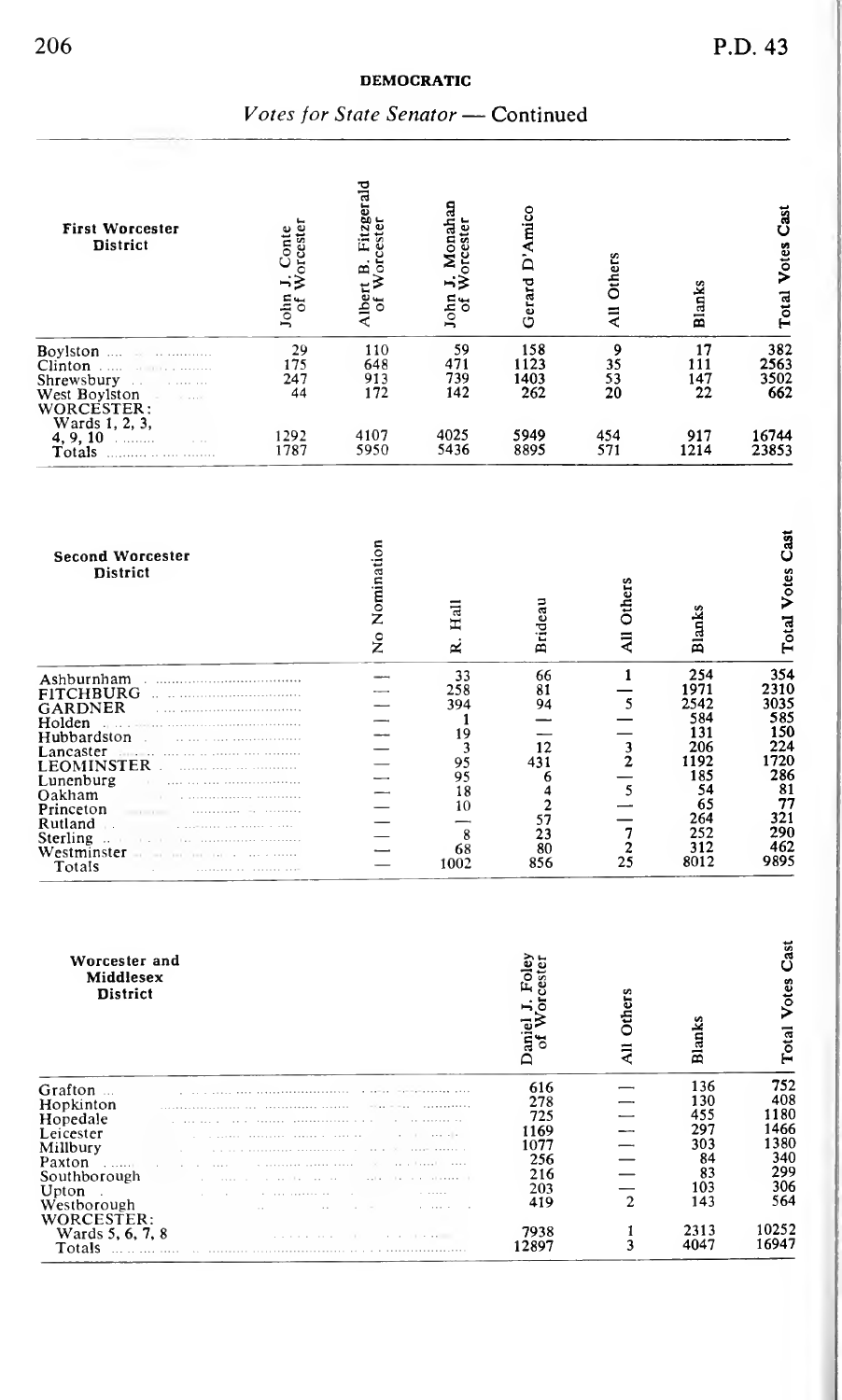| <b>First Worcester</b><br><b>District</b>                                                                                                                                                                                 | John J. Conte<br>of Worcester                                        | Albert B. Fitzgerald<br>Worcester<br>ร | John J. Monahan<br>of Worcester                                                                                                                                                                                                                                                                                                                                                                                                       | Gerard D'Amico                                                                                        | All Others                                                                    | Blanks                                                                                           | $\begin{array}{c c}\n\text{250} & \text{Total Votes Cast} \\ \hline\n\text{250} & \text{250} \\ \text{250} & \text{250} \\ \hline\n\end{array}$ |
|---------------------------------------------------------------------------------------------------------------------------------------------------------------------------------------------------------------------------|----------------------------------------------------------------------|----------------------------------------|---------------------------------------------------------------------------------------------------------------------------------------------------------------------------------------------------------------------------------------------------------------------------------------------------------------------------------------------------------------------------------------------------------------------------------------|-------------------------------------------------------------------------------------------------------|-------------------------------------------------------------------------------|--------------------------------------------------------------------------------------------------|-------------------------------------------------------------------------------------------------------------------------------------------------|
| Boylston<br>Clinton<br>Shrewsbury<br>West Boylston<br><b>State</b>                                                                                                                                                        | 29<br>175<br>247<br>44                                               | 110<br>648<br>913<br>172               | 59<br>471<br>739<br>142                                                                                                                                                                                                                                                                                                                                                                                                               | 158<br>1123<br>1403<br>262                                                                            | 9<br>$\frac{35}{53}$<br>20                                                    | 17<br>111<br>$\frac{147}{22}$                                                                    | 662                                                                                                                                             |
| WORCESTER:<br>Wards 1, 2, 3,<br>4, 9, 10<br><b>A</b> Alberta<br>Totals<br>and the company                                                                                                                                 | 1292<br>1787                                                         | 4107<br>5950                           | 4025<br>5436                                                                                                                                                                                                                                                                                                                                                                                                                          | 5949<br>8895                                                                                          | 454<br>571                                                                    | $\frac{917}{1214}$                                                                               | 16744<br>23853                                                                                                                                  |
| <b>Second Worcester</b><br><b>District</b>                                                                                                                                                                                |                                                                      | No Nomination                          | Hall<br>ż                                                                                                                                                                                                                                                                                                                                                                                                                             | Brideau                                                                                               | All Others                                                                    | Blanks                                                                                           | <b>Total Votes Cast</b>                                                                                                                         |
| <b>GARDNER</b><br>Holden<br>.<br>.<br>Hubbardston<br>Lancaster<br>LEOMINSTER<br>Lunenburg<br>Oakham<br>Princeton<br>Rutland<br>مستقر موسوعات الأرادية<br>Sterling<br>Westminster<br>Totals<br>$\mathcal{L}^{\mathcal{L}}$ |                                                                      | -------------<br>-----------           | 33<br>258<br>394<br>$\mathbf{1}$<br>19<br>3<br>95<br>95<br>18<br>10<br>8<br>68<br>1002                                                                                                                                                                                                                                                                                                                                                | 66<br>81<br>94<br>$\frac{12}{431}$<br>6<br>$\frac{4}{2}$<br>$\frac{57}{23}$<br>$\overline{80}$<br>856 | 1<br>$\frac{-5}{3}$ $\frac{-3}{2}$ $\frac{2}{5}$ $\frac{-7}{2}$ $\frac{2}{5}$ | 254<br>1971<br>2542<br>584<br>131<br>206<br>1192<br>185<br>54<br>65<br>264<br>252<br>312<br>8012 | 354<br>2310<br>3035<br>585<br>585<br>150<br>224<br>226<br>81<br>77<br>321<br>290<br>462<br>9895                                                 |
| Worcester and<br>Middlesex<br><b>District</b>                                                                                                                                                                             |                                                                      |                                        |                                                                                                                                                                                                                                                                                                                                                                                                                                       | Daniel J. Foley<br>orcester<br>ѯ<br>ક                                                                 | All Others                                                                    | Blanks                                                                                           | <b>Total Votes Cast</b>                                                                                                                         |
| Grafton<br>Hopkinton<br>Hopedale<br>Leicester<br>Millbury<br>Paxton<br>Southborough<br>Upton<br>Westborough                                                                                                               | , and in a state similar momentum $\epsilon$<br>$\sim 100$<br>$\sim$ | J.                                     | $\label{eq:1} \begin{array}{lllllllllllll} \hline \textbf{1}_{\{1,2,3,4,5,5\}} & \textbf{1}_{\{1,2,4,5,5,5,5,5\}} \end{array}$<br>and a manager<br>$\begin{aligned} \mathcal{L}_{\text{max}}(\mathcal{L}_{\text{max}}) = \mathcal{L}_{\text{max}}(\mathcal{L}_{\text{max}}) \\ \mathcal{L}_{\text{max}}(\mathcal{L}_{\text{max}}) = \mathcal{L}_{\text{max}}(\mathcal{L}_{\text{max}}) \end{aligned}$<br>and there is now<br>a common | 616<br>278<br>725<br>1169<br>1077<br>256<br>216<br>203<br>419                                         | $\frac{-}{2}$                                                                 | 136<br>130<br>455<br>297<br>303<br>84<br>83<br>103<br>143                                        | $\frac{1}{752}$<br>408<br>1180<br>1466<br>1380<br>340<br>299<br>306<br>564                                                                      |
| WORCESTER:<br>Wards 5, 6, 7, 8<br>Totals<br>and a single series                                                                                                                                                           | a a shekarar a                                                       | $\sim$                                 | $\alpha$ , $\alpha$ , $\alpha$ , $\alpha$ , $\alpha$ , $\alpha$                                                                                                                                                                                                                                                                                                                                                                       | 7938<br>12897                                                                                         | 1<br>3                                                                        | 2313<br>4047                                                                                     | 10252<br>16947                                                                                                                                  |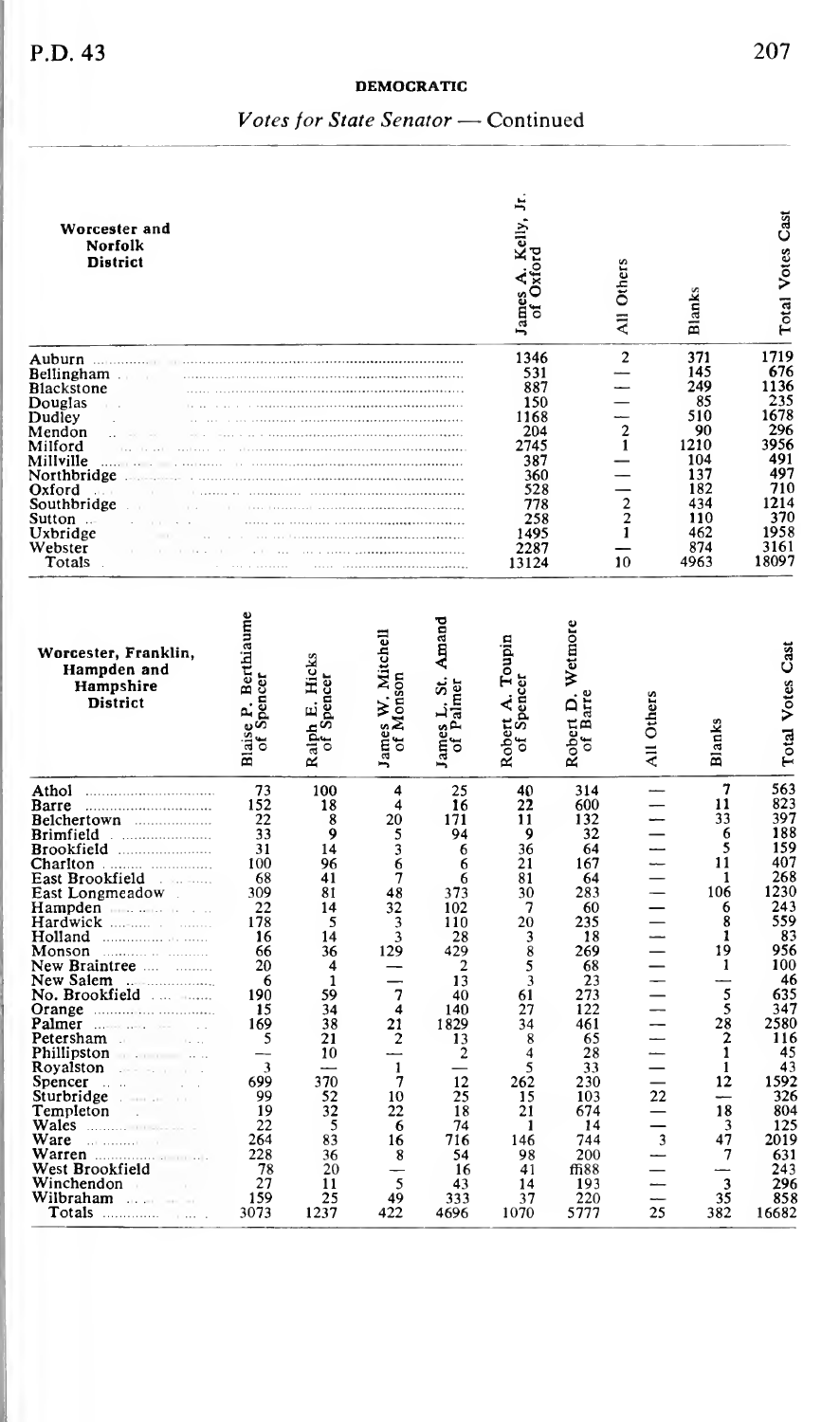| Worcester and<br>Norfolk<br><b>District</b>                                                                                                                                                                                                                                                                                                                                                                                                                                                                                                                                                                                                                                                                                                                                                                                                                                                                         |                                                                                                                                                                                                           |                                                                                                                                                                                                                                                                                                                                                                                                                                                                                                                                              |                                                                                                                                                               |                                                                                                                                                                                                                                      | James A. Kelly, Jr.<br>of Oxford                                                                                                                                                                                                                          |                                                                                                                                                                                                               | All Others                                                                               |            | Blanks                                                                                                                                                                                                       | Total Votes Cast                                                                                                                                                                                                                                                                                       |
|---------------------------------------------------------------------------------------------------------------------------------------------------------------------------------------------------------------------------------------------------------------------------------------------------------------------------------------------------------------------------------------------------------------------------------------------------------------------------------------------------------------------------------------------------------------------------------------------------------------------------------------------------------------------------------------------------------------------------------------------------------------------------------------------------------------------------------------------------------------------------------------------------------------------|-----------------------------------------------------------------------------------------------------------------------------------------------------------------------------------------------------------|----------------------------------------------------------------------------------------------------------------------------------------------------------------------------------------------------------------------------------------------------------------------------------------------------------------------------------------------------------------------------------------------------------------------------------------------------------------------------------------------------------------------------------------------|---------------------------------------------------------------------------------------------------------------------------------------------------------------|--------------------------------------------------------------------------------------------------------------------------------------------------------------------------------------------------------------------------------------|-----------------------------------------------------------------------------------------------------------------------------------------------------------------------------------------------------------------------------------------------------------|---------------------------------------------------------------------------------------------------------------------------------------------------------------------------------------------------------------|------------------------------------------------------------------------------------------|------------|--------------------------------------------------------------------------------------------------------------------------------------------------------------------------------------------------------------|--------------------------------------------------------------------------------------------------------------------------------------------------------------------------------------------------------------------------------------------------------------------------------------------------------|
| Auburn<br><b>Bellingham</b><br><b>Blackstone</b><br>Douglas<br>Dudley<br>÷<br>Mendon<br>à.<br>Milford<br>and the common the common announcement and an<br>Millville<br>Northbridge<br>Oxford<br><u>1990 - James Samman, manamanan manan</u><br>Southbridge<br>Sutton<br>$\sim$ $\sim$<br>$-111$<br>Uxbridge<br>Webster<br>The Contract of the Contract and Communications<br>Totals                                                                                                                                                                                                                                                                                                                                                                                                                                                                                                                                 | and a common                                                                                                                                                                                              | $\label{eq:2.1} \begin{array}{lllllllllllllll} \multicolumn{3}{l}{} & \multicolumn{3}{l}{} & \multicolumn{3}{l}{} & \multicolumn{3}{l}{} & \multicolumn{3}{l}{} & \multicolumn{3}{l}{} & \multicolumn{3}{l}{} & \multicolumn{3}{l}{} & \multicolumn{3}{l}{} & \multicolumn{3}{l}{} & \multicolumn{3}{l}{} & \multicolumn{3}{l}{} & \multicolumn{3}{l}{} & \multicolumn{3}{l}{} & \multicolumn{3}{l}{} & \multicolumn{3}{l}{} & \multicolumn{3}{l}{} & \multicolumn{3}{l}{}$<br>The contract in the material communication of the contract of |                                                                                                                                                               |                                                                                                                                                                                                                                      | 1346<br>531<br>887<br>150<br>1168<br>204<br>2745<br>387<br>360<br>528<br>778<br>258<br>1495<br>2287<br>13124                                                                                                                                              |                                                                                                                                                                                                               | $\overline{\mathbf{c}}$<br>$\frac{-}{2}$ $\frac{1}{2}$ $\frac{-}{2}$ $\frac{2}{1}$<br>10 |            | 371<br>145<br>249<br>85<br>510<br>90<br>1210<br>104<br>137<br>182<br>434<br>110<br>462<br>874<br>4963                                                                                                        | 1719<br>$\frac{676}{1136}$<br>235<br>1678<br>296<br>3956<br>491<br>497<br>710<br>1214<br>$\frac{370}{1958}$<br>3161<br>18097                                                                                                                                                                           |
| Worcester, Franklin,<br>Hampden and<br>Hampshire<br>District                                                                                                                                                                                                                                                                                                                                                                                                                                                                                                                                                                                                                                                                                                                                                                                                                                                        | Blaise P. Berthiaume<br>of Spencer                                                                                                                                                                        | Ralph E. Hicks<br>of Spencer                                                                                                                                                                                                                                                                                                                                                                                                                                                                                                                 | James W. Mitchell<br>of Monson                                                                                                                                | Amand<br>James L. St.<br>of Palmer                                                                                                                                                                                                   | Robert A. Toupin<br>Spencer<br>ร                                                                                                                                                                                                                          | Robert D. Wetmore<br>of Barre                                                                                                                                                                                 |                                                                                          | All Others | Blanks                                                                                                                                                                                                       | <b>Total Votes Cast</b>                                                                                                                                                                                                                                                                                |
| Athol<br>Barre<br>Belchertown<br>East Brookfield<br><b>Committee</b><br>East Longmeadow<br>i,<br>Monson<br>New Braintree<br>New Salem<br>$\begin{minipage}{0.5\textwidth} \begin{tabular}{ c c c } \hline & \multicolumn{3}{ c }{\textbf{r}} & \multicolumn{3}{ c }{\textbf{r}} \\ \hline \multicolumn{3}{ c }{\textbf{r}} & \multicolumn{3}{ c }{\textbf{r}} & \multicolumn{3}{ c }{\textbf{r}} \\ \hline \multicolumn{3}{ c }{\textbf{r}} & \multicolumn{3}{ c }{\textbf{r}} & \multicolumn{3}{ c }{\textbf{r}} \\ \hline \multicolumn{3}{ c }{\textbf{r}} & \multicolumn{3}{ c }{\textbf{r}}$<br>No. Brookfield<br>Orange<br>Palmer<br>and and the con-<br>Petersham<br>$\frac{d}{d\theta}$<br>$\theta$ = $\theta$<br>$\theta$ = $\theta$<br>$\theta$ = $\theta$<br>Spencer<br>Sturbridge<br>Templeton<br>Wales<br>Ware<br>an announce of the little<br>West Brookfield<br>Winchendon<br>Winchendon<br>Wilbraham | 73<br>152<br>22<br>33<br>31<br>100<br>68<br>309<br>22<br>178<br>16<br>66<br>20<br>6<br>190<br>15<br>169<br>5<br>$\overline{\mathbf{3}}$<br>699<br>99<br>19<br>22<br>264<br>228<br>78<br>27<br>159<br>3073 | 100<br>18<br>8<br>ğ<br>14<br>96<br>41<br>81<br>14<br>5<br>14<br>36<br>4<br>$\mathbf{1}$<br>59<br>34<br>38<br>21<br>10<br>370<br>52<br>$\frac{1}{3}$ $\frac{1}{5}$<br>83<br>36<br>20<br>11<br>25<br>1237                                                                                                                                                                                                                                                                                                                                      | 4<br>$\overline{4}$<br>20<br>5367<br>48<br>$rac{32}{3}$<br>129<br>$\frac{7}{21}$<br>$\frac{1}{7}$<br>10<br>$\frac{22}{6}$<br>16<br>8<br>$\frac{5}{49}$<br>422 | 25<br>16<br>171<br>94<br>6<br>6<br>6<br>373<br>102<br>110<br>28<br>429<br>$\overline{\mathbf{c}}$<br>13<br>40<br>140<br>1829<br>13<br>$\overline{\mathbf{c}}$<br>12<br>$\frac{25}{18}$<br>74<br>716<br>54<br>16<br>43<br>333<br>4696 | 40<br>22<br>11<br>9<br>36<br>$\frac{21}{81}$<br>30<br>$\overline{7}$<br>20<br>$\begin{array}{c} 3 \\ 8 \\ 5 \\ 3 \end{array}$<br>$\frac{61}{27}$<br>$\frac{34}{8}$<br>$262$<br>$262$<br>$15$<br>21<br>$\mathbf{1}$<br>146<br>98<br>41<br>14<br>37<br>1070 | 314<br>600<br>132<br>32<br>64<br>167<br>64<br>283<br>60<br>235<br>18<br>269<br>68<br>23<br>273<br>122<br>461<br>65<br>28<br>33<br>230<br>103<br>674<br>14<br>744<br>200<br>ffi88<br>$\frac{193}{220}$<br>5777 |                                                                                          | 25         | 7<br>11<br>33<br>6<br>5<br>11<br>1<br>106<br>6<br>8<br>i<br>19<br>1<br>$\frac{5}{28}$<br>$\frac{2}{1}$<br>1<br>12<br>$\frac{18}{3}$<br>47<br>7<br>$\begin{array}{c}\n\overline{3} \\ 35 \\ 382\n\end{array}$ | $\frac{563}{823}$<br>$\frac{823}{397}$<br>$\frac{188}{188}$<br>159<br>407<br>$\frac{268}{1230}$<br>559<br>$\frac{83}{956}$<br>100<br>$\frac{46}{635}$<br>$\frac{347}{2580}$<br>$45$<br>$43$<br>$1592$<br>$326$<br>$804$<br>$\frac{125}{2019}$<br>$2019$<br>$631$<br>$243$<br>$296$<br>$858$<br>$16682$ |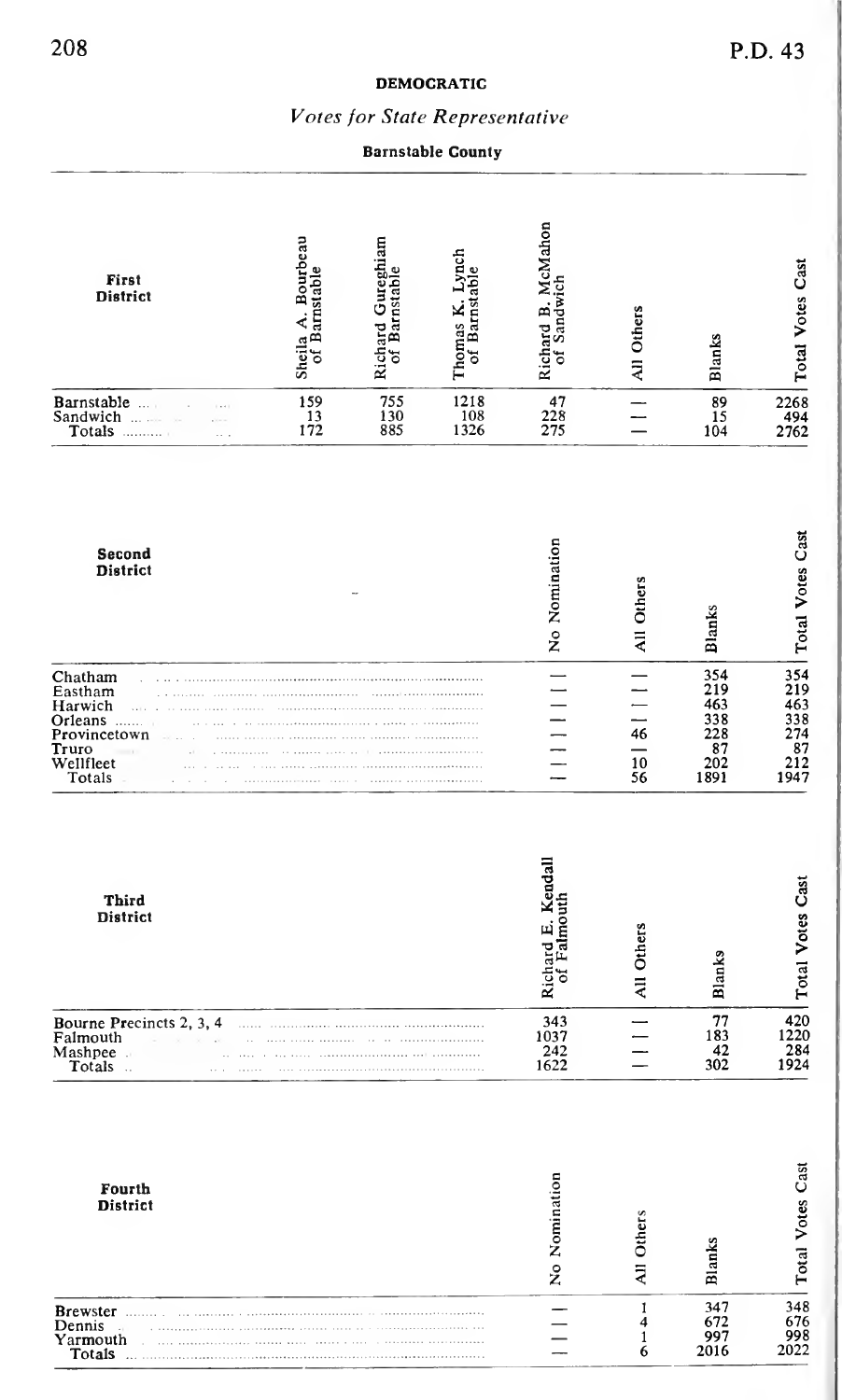## Votes for State Representative

### **Barnstable County**

| First<br>District                                                                              | Sheila A. Bourbeau<br>of Barnstable             | Richard Gureghiam<br>of Barnstable                                                                               | Thomas K. Lynch<br>of Barnstable | Richard B. McMahon<br>of Sandwich                         | All Others                                      | Blanks                                                      | 2268 Total Votes Cast<br>2762<br>2762 |
|------------------------------------------------------------------------------------------------|-------------------------------------------------|------------------------------------------------------------------------------------------------------------------|----------------------------------|-----------------------------------------------------------|-------------------------------------------------|-------------------------------------------------------------|---------------------------------------|
| Barnstable<br>ù.<br>Sandwich<br>Totals<br>1.1.1.1.1.1.1<br>a.                                  | $\begin{array}{c} 159 \\ 13 \\ 172 \end{array}$ | 755<br>130<br>885                                                                                                | 1218<br>$\frac{108}{1326}$       | $\begin{array}{c} 47 \\ 228 \\ 275 \end{array}$           |                                                 | $\frac{89}{15}$<br>104                                      |                                       |
| Second<br>District                                                                             |                                                 |                                                                                                                  |                                  | No Nomination                                             | All Others                                      | <b>Blanks</b>                                               |                                       |
| Chatham<br>Eastham<br>Harwich<br>Orleans<br>Provincetown<br>Truro<br>Wellfleet<br>Totals<br>ł, |                                                 | the common committee of the committee of the committee of the committee of the committee of the committee of the |                                  |                                                           | $\frac{1}{46}$<br>$\frac{10}{56}$               | 354<br>219<br>463<br>338<br>228<br>$\frac{87}{202}$<br>1891 |                                       |
| Third<br>District                                                                              |                                                 |                                                                                                                  |                                  | Richard E. Kendall<br>of Falmouth                         | All Others                                      | Blanks                                                      | 1920<br>1924<br>1924<br>1924          |
| Bourne Precincts 2, 3, 4<br>Falmouth<br>Mashpee.<br>Totals<br>à,<br>.<br>$\cdots$              |                                                 |                                                                                                                  |                                  | $\begin{array}{r} 343 \\ 1037 \\ 242 \\ 1622 \end{array}$ |                                                 | $\frac{77}{183}$<br>$\frac{42}{302}$                        |                                       |
| Fourth<br>District                                                                             |                                                 |                                                                                                                  |                                  | No Nomination                                             | All Others                                      | Blanks                                                      | 998<br>2022<br>2022<br>2022           |
| Brewster<br>Dennis<br>Yarmouth<br>Totals                                                       |                                                 |                                                                                                                  |                                  |                                                           | $\begin{array}{c} 1 \\ 4 \\ 1 \\ 6 \end{array}$ | $\begin{array}{r} 347 \\ 672 \\ 997 \\ 2016 \end{array}$    |                                       |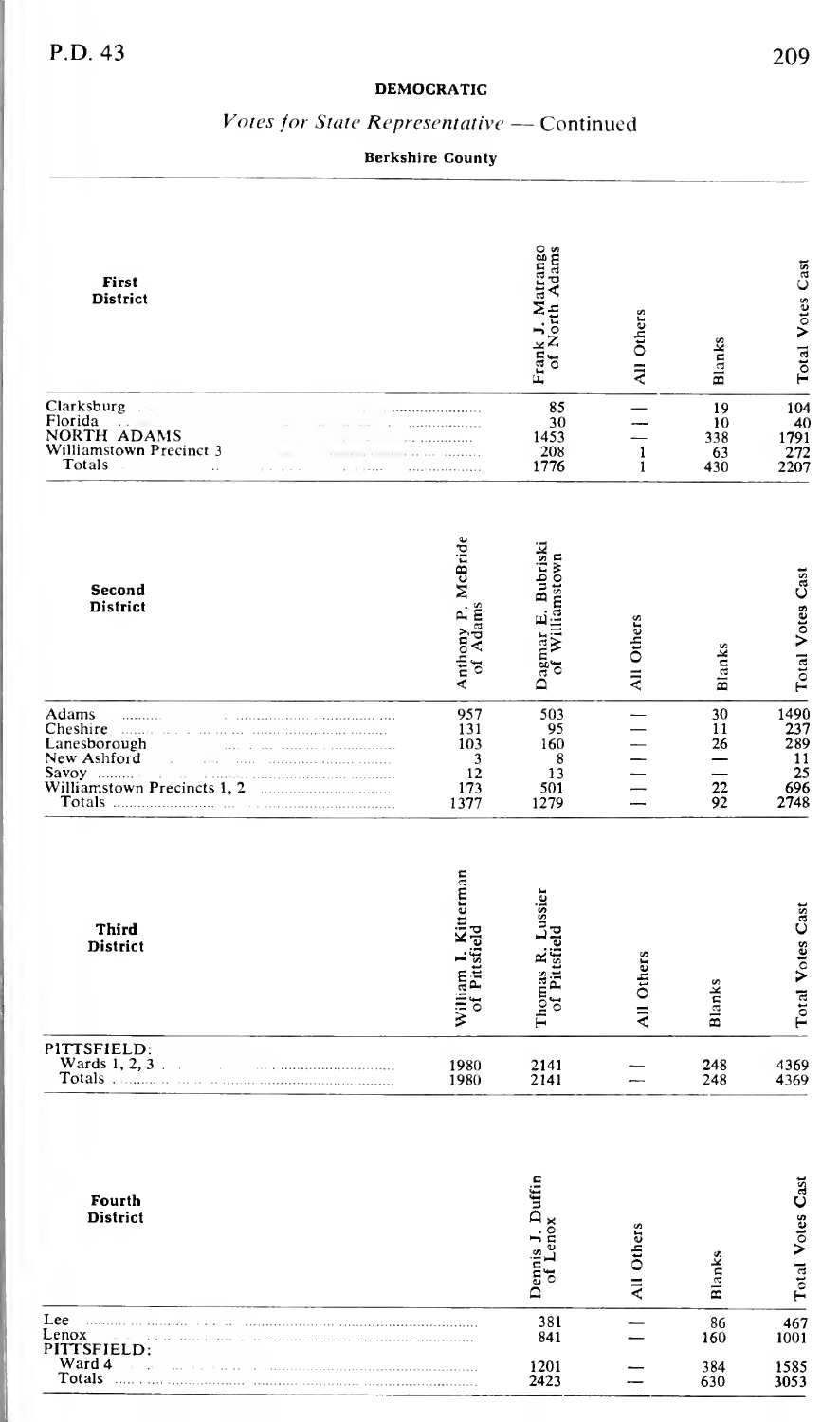## Votes for State Representative — Continued

## Berkshire County

| First<br>District                                                                             |                                              | Frank J. Matrango<br>of North Adams                            | All Others    | Blanks                                     | Total Votes Cast                                                          |
|-----------------------------------------------------------------------------------------------|----------------------------------------------|----------------------------------------------------------------|---------------|--------------------------------------------|---------------------------------------------------------------------------|
| Clarksburg<br>Florida<br>NORTH ADAMS<br>Williamstown Precinct 3<br>Totals                     |                                              | $\begin{array}{r} 85 \\ 30 \\ 1453 \\ 208 \\ 1776 \end{array}$ | $\frac{1}{1}$ | 19<br>$\frac{10}{338}$<br>$\frac{63}{430}$ | $\begin{array}{c}\n\hline\n104 \\ 40 \\ 1791 \\ 272 \\ 2207\n\end{array}$ |
| Second<br>District                                                                            | Anthony P. McBride<br>of Adams               | Dagmar E. Bubriski<br>of Williamstown                          | All Others    | <b>Blanks</b>                              | Later Cast<br>1490<br>1490<br>11907<br>25<br>696<br>696                   |
| Adams<br>Cheshire<br>.<br>Lanesborough<br>New Ashford                                         | 957<br>131<br>103<br>$\frac{3}{173}$<br>1377 | 503<br>95<br>160<br>8<br>$\frac{13}{501}$<br>1279              |               | $\frac{30}{11}$<br>26<br>$\frac{22}{92}$   | 2748                                                                      |
| Third<br>District                                                                             | William I. Kitterman<br>of Pittsfield        | Thomas R. Lussier<br>of Pittsfield                             | All Others    | Blanks                                     | Total Votes Cast                                                          |
| PITTSFIELD:<br>Wards 1, 2, 3<br>Totals<br>÷,<br>$\epsilon$<br>$\sim 100$ and $\sim 100$<br>÷. | 1980<br>1980                                 | $\frac{2141}{2141}$                                            |               | 248<br>248                                 | 4369<br>4369                                                              |
| Fourth<br>District                                                                            |                                              | Dennis J. Duffin<br>of Lenox                                   | All Others    | Blanks                                     | $\frac{1}{2}$ Total Votes Cast                                            |
| Lee<br>Lenox<br>PITTSFIELD:<br>Ward 4                                                         |                                              | 381<br>841                                                     |               | $\frac{86}{160}$                           |                                                                           |
| Totals                                                                                        |                                              | 1201<br>2423                                                   |               | 384<br>630                                 | 1585<br>3053                                                              |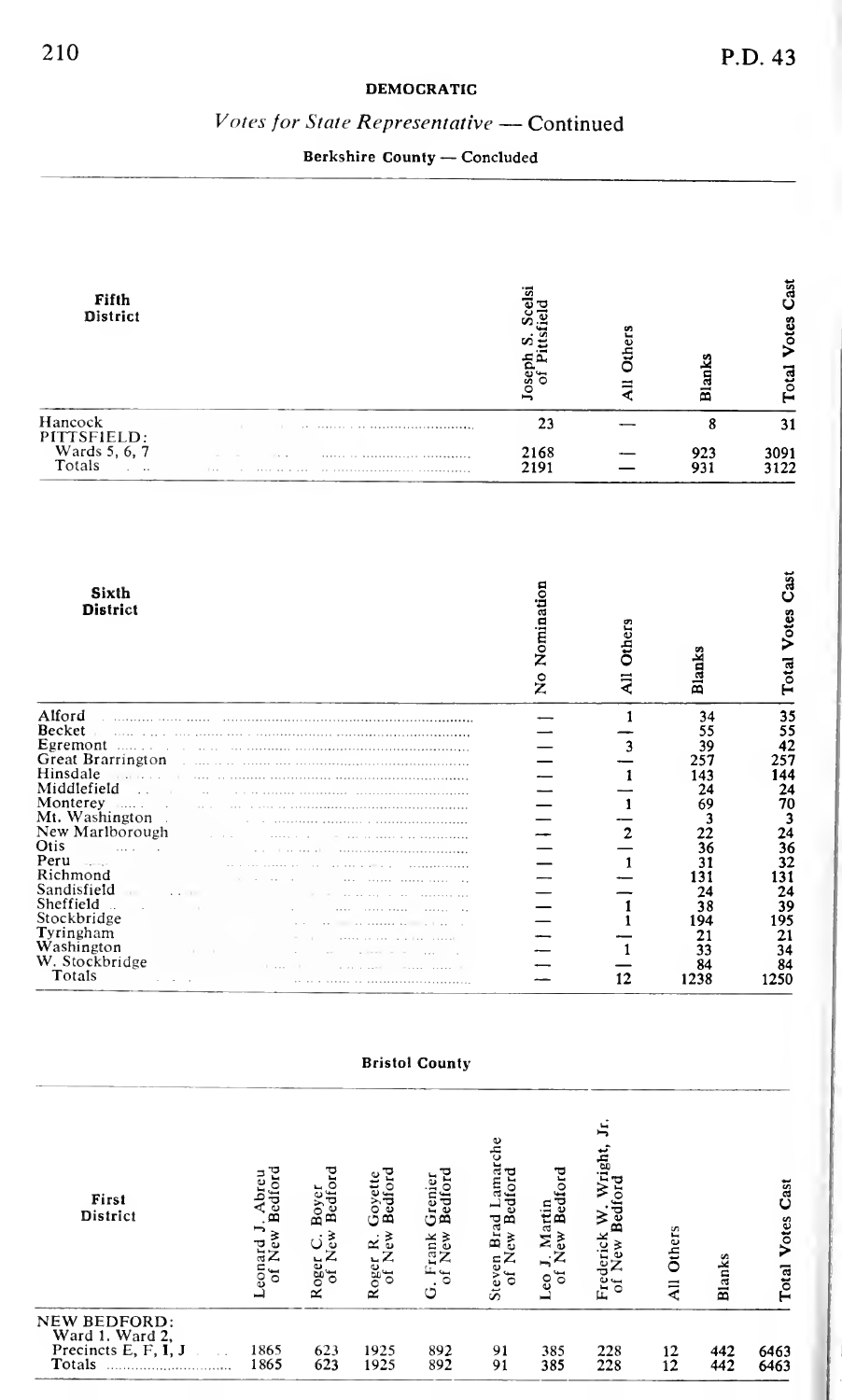## Votes for State Representative — Continued

Berkshire County — Concluded

| Fifth<br>District<br>Hancock<br>PITTSFIELD:<br>Wards 5, 6, 7                                                                                                                                                                                                                         |                                    |                                  |                                    |                                    |                                        | Joseph S. Scelsi<br>of Pittsfield<br>23 | All Others                                                                                                                     |              | Blanks<br>8                                                                                                                                                        | 2 Total Votes Cast |
|--------------------------------------------------------------------------------------------------------------------------------------------------------------------------------------------------------------------------------------------------------------------------------------|------------------------------------|----------------------------------|------------------------------------|------------------------------------|----------------------------------------|-----------------------------------------|--------------------------------------------------------------------------------------------------------------------------------|--------------|--------------------------------------------------------------------------------------------------------------------------------------------------------------------|--------------------|
| Totals<br>$\bar{a}$<br>à.                                                                                                                                                                                                                                                            | <b>CONTRACTOR</b>                  |                                  |                                    |                                    |                                        | 2168<br>2191                            |                                                                                                                                |              | 923<br>931                                                                                                                                                         | 3091<br>3122       |
| Sixth<br>District                                                                                                                                                                                                                                                                    |                                    |                                  |                                    |                                    |                                        |                                         | All Others                                                                                                                     |              | Blanks                                                                                                                                                             |                    |
| Alford<br>Becket<br>Egremont<br>Great Brarrington<br>Hinsdale<br>$\alpha$ . The second<br>Middlefield<br>Monterey<br>Mt. Washington<br>New Marlborough<br>Otis<br>Peru<br>Richmond<br>Sandisfield<br>Sheffield<br>Stockbridge<br>Tyringham<br>Washington<br>W. Stockbridge<br>Totals |                                    |                                  | .                                  |                                    |                                        |                                         | $\mathbf{1}$<br>$\frac{-3}{1}$ $\frac{-1}{1}$ $\frac{-1}{2}$ $\frac{-1}{1}$ $\frac{-1}{1}$<br>$\overline{1}$<br>$\frac{1}{12}$ |              | $\begin{array}{c} 34 \\ 55 \\ 25 \\ 14 \\ 24 \\ 69 \\ 3 \\ 22 \\ 36 \\ 31 \\ 131 \\ \end{array}$<br>$\frac{24}{38}$<br>$\frac{194}{21}$<br>$\overline{84}$<br>1238 |                    |
|                                                                                                                                                                                                                                                                                      |                                    |                                  |                                    | <b>Bristol County</b>              |                                        |                                         |                                                                                                                                |              |                                                                                                                                                                    |                    |
| First<br>District                                                                                                                                                                                                                                                                    | Leonard J. Abreu<br>of New Bedford | Roger C. Boyer<br>of New Bedford | Roger R. Goyette<br>of New Bedford | G. Frank Grenier<br>of New Bedford | Steven Brad Lamarche<br>of New Bedford | Leo J. Martin<br>of New Bedford         | Frederick W. Wright, Jr.<br>of New Bedford                                                                                     | All Others   | Blanks                                                                                                                                                             | Total Votes Cast   |
| NEW BEDFORD:<br>Ward 1. Ward 2,<br>Precincts E, F, I,<br>J<br>Totals                                                                                                                                                                                                                 | 1865<br>1865                       | 623<br>623                       | 1925<br>1925                       | 892<br>892                         | 91<br>91                               | 385<br>385                              | $^{228}_{228}$                                                                                                                 | $^{12}_{12}$ | 442<br>442                                                                                                                                                         | 6463<br>6463       |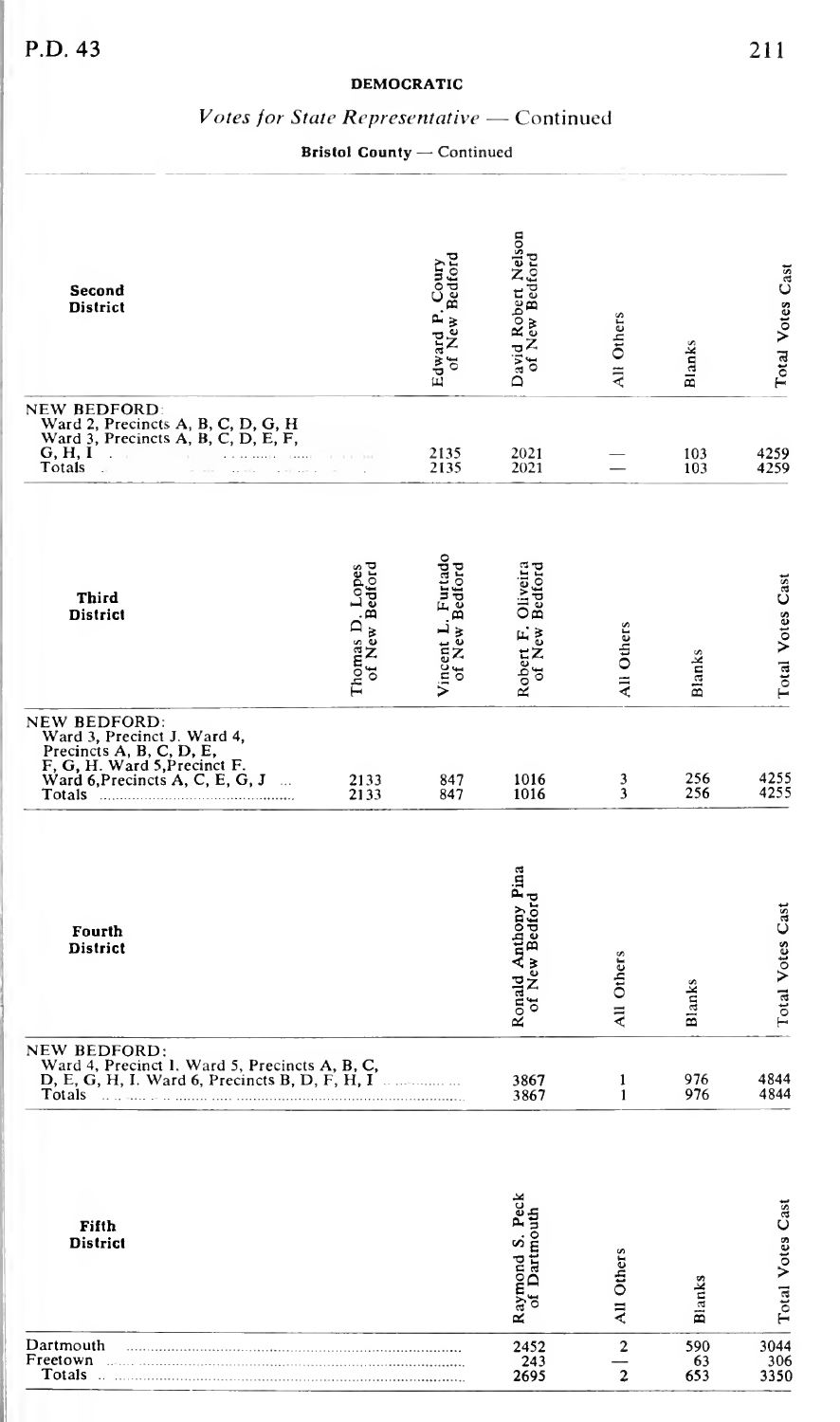## Votes for State Representative - Continued

Bristol County - Continued

| Second<br><b>District</b>                                                                                                                                                                                                                                                                                                                                                                                                                                                                                                                             |                                   | Edward P. Coury<br>of New Bedford    | David Robert Nelson<br>of New Bedford | All Others                      | Blanks                 | Total Votes Cast                |
|-------------------------------------------------------------------------------------------------------------------------------------------------------------------------------------------------------------------------------------------------------------------------------------------------------------------------------------------------------------------------------------------------------------------------------------------------------------------------------------------------------------------------------------------------------|-----------------------------------|--------------------------------------|---------------------------------------|---------------------------------|------------------------|---------------------------------|
| NEW BEDFORD:<br>Ward 2, Precincts A, B, C, D, G, H, Ward 3, Precincts A, B, C, D, E, F,<br>G, H, I<br>Totals<br>$\label{eq:1.1} \begin{array}{cccccccccc} \mathbf{1} & \mathbf{1} & \mathbf{1} & \mathbf{1} & \mathbf{1} & \cdots & \mathbf{1} & \mathbf{1} & \mathbf{1} & \mathbf{1} & \cdots & \mathbf{1} & \mathbf{1} & \mathbf{1} & \mathbf{1} & \mathbf{1} & \mathbf{1} & \mathbf{1} & \mathbf{1} & \mathbf{1} & \mathbf{1} & \mathbf{1} & \mathbf{1} & \mathbf{1} & \mathbf{1} & \mathbf{1} & \mathbf{1} & \mathbf{1} & \mathbf{1} & \mathbf{1$ |                                   | 2135<br>2135                         | 2021                                  |                                 | $\frac{103}{103}$      | 4259<br>4259                    |
| Third<br>District                                                                                                                                                                                                                                                                                                                                                                                                                                                                                                                                     | Thomas D. Lopes<br>of New Bedford | Vincent L. Furtado<br>of New Bedford | Robert F. Oliveira<br>of New Bedford  | All Others                      | Blanks                 | Total Votes Cast                |
| <b>NEW BEDFORD:</b><br>Eva B. Precinct J. Ward 4,<br>Precincts A, B, C, D, E,<br>F, G, H. Ward 5, Precinct F.<br>Ward 6, Precincts A, C, E, G, J<br>$\sim$<br>Totals                                                                                                                                                                                                                                                                                                                                                                                  | 2133<br>2133                      | 847<br>847                           | $\frac{1016}{1016}$                   | $\frac{3}{3}$                   | 256<br>256             | 4255<br>4255                    |
| Fourth<br>District                                                                                                                                                                                                                                                                                                                                                                                                                                                                                                                                    |                                   |                                      | Ronald Anthony Pina<br>of New Bedford | All Others                      | Blanks                 | Total Votes Cast                |
| NEW BEDFORD:<br>Ward 4, Precinct 1. Ward 5, Precincts A, B, C,<br>D, E, G, H, I. Ward 6, Precincts B, D, F, H, I<br>Totals<br>a a ser e e mano no mundo comunicación comunicación e comunicación                                                                                                                                                                                                                                                                                                                                                      |                                   |                                      | 3867<br>3867                          | $\pmb{1}$<br>$\mathbf{1}$       | 976<br>976             | 4844<br>4844                    |
| Fifth<br><b>District</b>                                                                                                                                                                                                                                                                                                                                                                                                                                                                                                                              |                                   |                                      | Raymond S. Peck<br>of Dartmouth       | All Others                      | <b>Blanks</b>          | Total Votes Cast                |
| Dartmouth<br>Freetown<br>.<br>The contribution of the contribution of the contribution of the contribution of the contribution of the contribution of the contribution of the contribution of the contribution of the contribution of the contribution of<br>Totals                                                                                                                                                                                                                                                                                   |                                   |                                      | 2452<br>243<br>2695                   | $\overline{2}$<br>$\frac{1}{2}$ | $\frac{590}{63}$<br>63 | $\frac{1}{3044}$<br>306<br>3350 |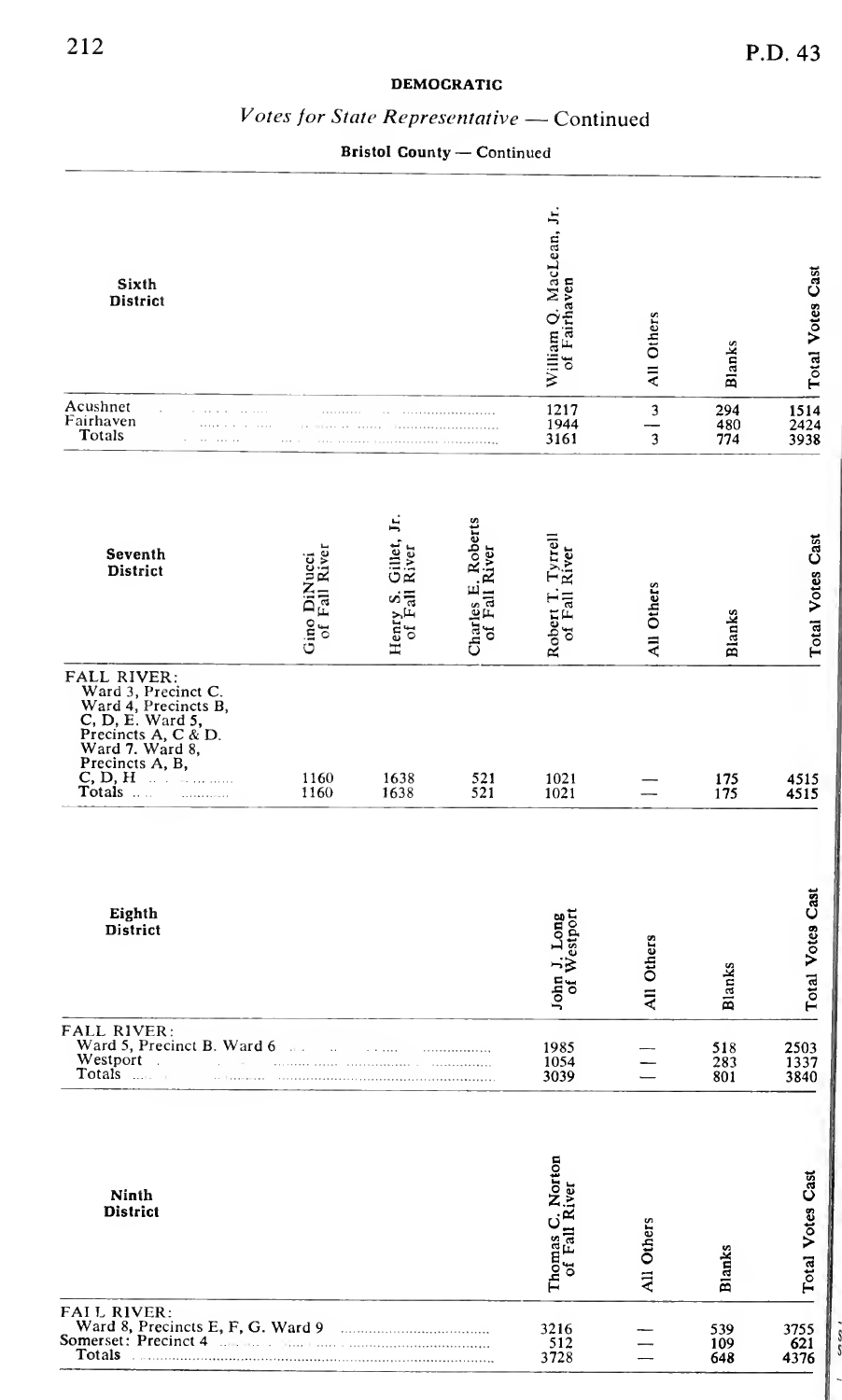## Votes for State Representative - Continued

### **Bristol County - Continued**

| Sixth<br>District                                                                                                                                                 |                                                |                                             |                                     | William Q. MacLean, Jr.<br>of Fairhaven            | All Others         | <b>Blanks</b>     | 1514<br>2424<br>3938<br>3938 |
|-------------------------------------------------------------------------------------------------------------------------------------------------------------------|------------------------------------------------|---------------------------------------------|-------------------------------------|----------------------------------------------------|--------------------|-------------------|------------------------------|
| Acushnet<br>Fairhaven<br>$\ldots \ldots \ldots$<br>Totals<br>$\alpha$ , and $\alpha$                                                                              | $\alpha$ and $\alpha$                          |                                             |                                     | 1217<br>1944<br>3161                               | 3<br>$\frac{1}{3}$ | 294<br>480<br>774 |                              |
| Seventh<br>District                                                                                                                                               | of Fall River<br>Gino DiNucci                  | Henry S. Gillet, Jr.<br>of Fall River       | Charles E. Roberts<br>of Fall River | Robert T. Tyrrell<br>of Fall River                 | All Others         | Blanks            | Total Votes Cast             |
| FALL RIVER:<br>Ward 3, Precinct C.<br>Ward 4, Precincts B,<br>C, D, E. Ward 5,<br>Precincts A, C & D.<br>Ward 7. Ward 8,<br>Precincts A, B,<br>C, D, H.<br>Totals | 1160<br>1160                                   | $\begin{array}{c} 1638 \\ 1638 \end{array}$ | $\frac{521}{521}$                   | $\begin{array}{c} 1021 \\ 1021 \end{array}$        |                    | $\frac{175}{175}$ | 4515<br>4515                 |
| Eighth<br>District                                                                                                                                                |                                                |                                             |                                     | John J. Long<br>of Westport                        | All Others         | Blanks            | Total Votes Cast             |
| FALL RIVER:<br>Ward 5, Precinct B. Ward 6<br>Westport<br>Totals<br>$\alpha$ . $\beta$                                                                             | $\alpha\in\mathbb{R}^d$<br>$\bar{\alpha}$<br>. | and some                                    |                                     | 1985<br>1054<br>3039                               |                    | 518<br>283<br>801 | 2503<br>1337<br>3840         |
| Ninth<br>District                                                                                                                                                 |                                                |                                             |                                     | Thomas C. Norton<br>of Fall River                  | All Others         | <b>Blanks</b>     | Total Votes Cast             |
| FAI L RIVER:<br>Ward 8, Precincts E, F, G. Ward 9<br>Somerset: Precinct 4<br>Totals                                                                               |                                                |                                             |                                     | $\begin{array}{r} 3216 \\ 512 \\ 3728 \end{array}$ |                    | 539<br>109<br>648 | 3755<br>621<br>4376          |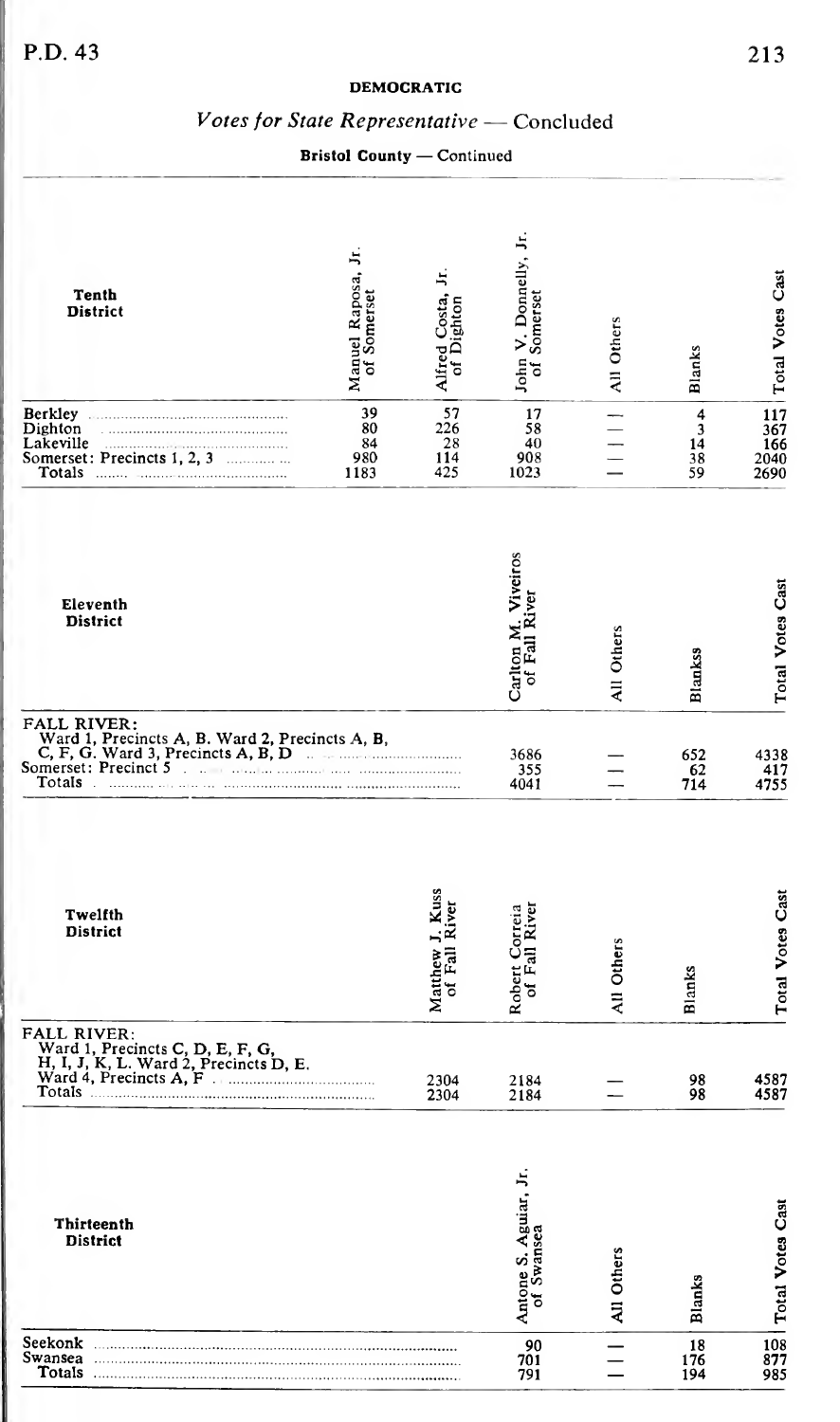## Votes for State Representative — Concluded

|                                                                                                                                             |                                   | <b>Bristol County - Continued</b>                         |                                      |            |                                                 |                     |
|---------------------------------------------------------------------------------------------------------------------------------------------|-----------------------------------|-----------------------------------------------------------|--------------------------------------|------------|-------------------------------------------------|---------------------|
| Tenth<br>District                                                                                                                           | Manuel Raposa, Jr.<br>of Somerset | Alfred Costa, Jr.<br>of Dighton                           | John V. Donnelly, Jr.<br>of Somerset | All Others | Blanks                                          |                     |
| Berkley<br>Dighton<br>Lakeville<br>Somerset: Precincts 1, 2, 3<br>Totals<br>بالمتبادية والمتحدث                                             | 39<br>80<br>84<br>980<br>1183     | $\frac{57}{226}$<br>$\frac{28}{114}$<br>$\frac{114}{425}$ | 17<br>58<br>$\frac{40}{908}$<br>1023 |            | $\frac{4}{3}$<br>$\frac{14}{38}$<br>59          |                     |
| Eleventh<br>District                                                                                                                        |                                   |                                                           | Carlton M. Viveiros<br>of Fall River | All Others | Blankss                                         | Total Votes Cast    |
| FALL RIVER:<br>Ward 1, Precincts A, B. Ward 2, Precincts A, B,<br>C, F, G. Ward 3, Precincts A, B, D<br>Somerset: Precinct 5<br>Totals<br>. | a sa manain                       |                                                           | 3686<br>$\frac{355}{4041}$           |            | $\begin{array}{c} 652 \\ 62 \\ 714 \end{array}$ | 4338<br>411<br>4755 |
| Twelfth<br>District                                                                                                                         |                                   | Matthew J. Kuss<br>of Fall River                          | Robert Correia<br>of Fall River      | All Others | Blanks                                          | Total Votes Cast    |
| Totals                                                                                                                                      |                                   | 2304<br>2304                                              | 2184<br>2184                         |            | 98<br>98                                        | 458.<br>458.        |
| Thirteenth<br><b>District</b>                                                                                                               |                                   |                                                           | Antone S. Aguiar, Jr.<br>of Swansea  | All Others | Blanks                                          | Total Votes Cast    |
| Seekonk<br>Swansea<br>Totals                                                                                                                |                                   |                                                           | $\frac{90}{701}$                     |            | $\frac{18}{176}$<br>194                         | 108<br>877<br>985   |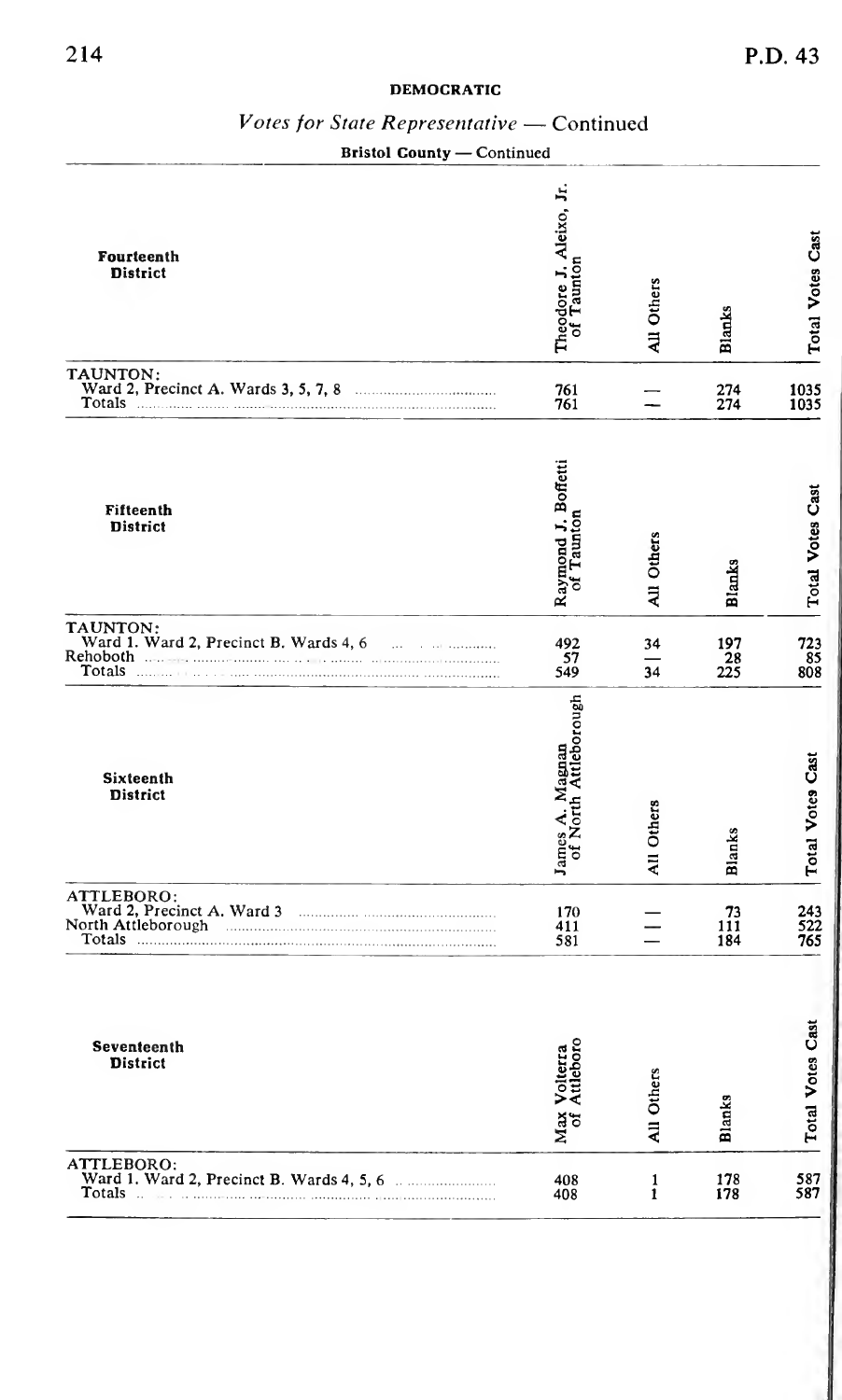| Bristol County - Continued                                                   |                                          |               |                                                 |                                                 |
|------------------------------------------------------------------------------|------------------------------------------|---------------|-------------------------------------------------|-------------------------------------------------|
| <b>Fourteenth</b><br><b>District</b>                                         | Theodore J. Aleixo, Jr.<br>of Taunton    | All Others    | Blanks                                          | Total Votes Cast                                |
| TAUNTON:<br>Ward 2, Precinct A. Wards 3, 5, 7, 8                             | $761$<br>$761$                           |               | 274<br>274                                      | 1035<br>1035                                    |
| Fifteenth<br><b>District</b>                                                 | Raymond J. Boffetti<br>of Taunton        | All Others    | <b>Blanks</b>                                   | Total Votes Cast                                |
| TAUNTON:<br>Ward 1. Ward 2, Precinct B. Wards 4, 6<br>and the communications | 492<br>57<br>549                         | 34<br>34      | $\begin{array}{c} 197 \\ 28 \\ 225 \end{array}$ | $\begin{array}{c} 723 \\ 85 \\ 808 \end{array}$ |
| <b>Sixteenth</b><br><b>District</b>                                          | James A. Magnan<br>of North Attleborough | All Others    | Blanks                                          | Total Votes Cast                                |
| ATTLEBORO:<br>Ward 2, Precinct A. Ward 3<br>Totals                           | 170<br>411<br>581                        |               | $^{73}_{111}$<br>184                            | 243<br>522<br>765                               |
| Seventeenth<br><b>District</b>                                               | Max Volterra<br>of Attleboro             | All Others    | Blanks                                          | <b>Total Votes Cast</b>                         |
| ATTLEBORO:<br>Totals<br>$\sim$                                               | 408<br>408                               | $\frac{1}{1}$ | 178<br>178                                      | 587<br>587                                      |

# Votes for State Representative — Continued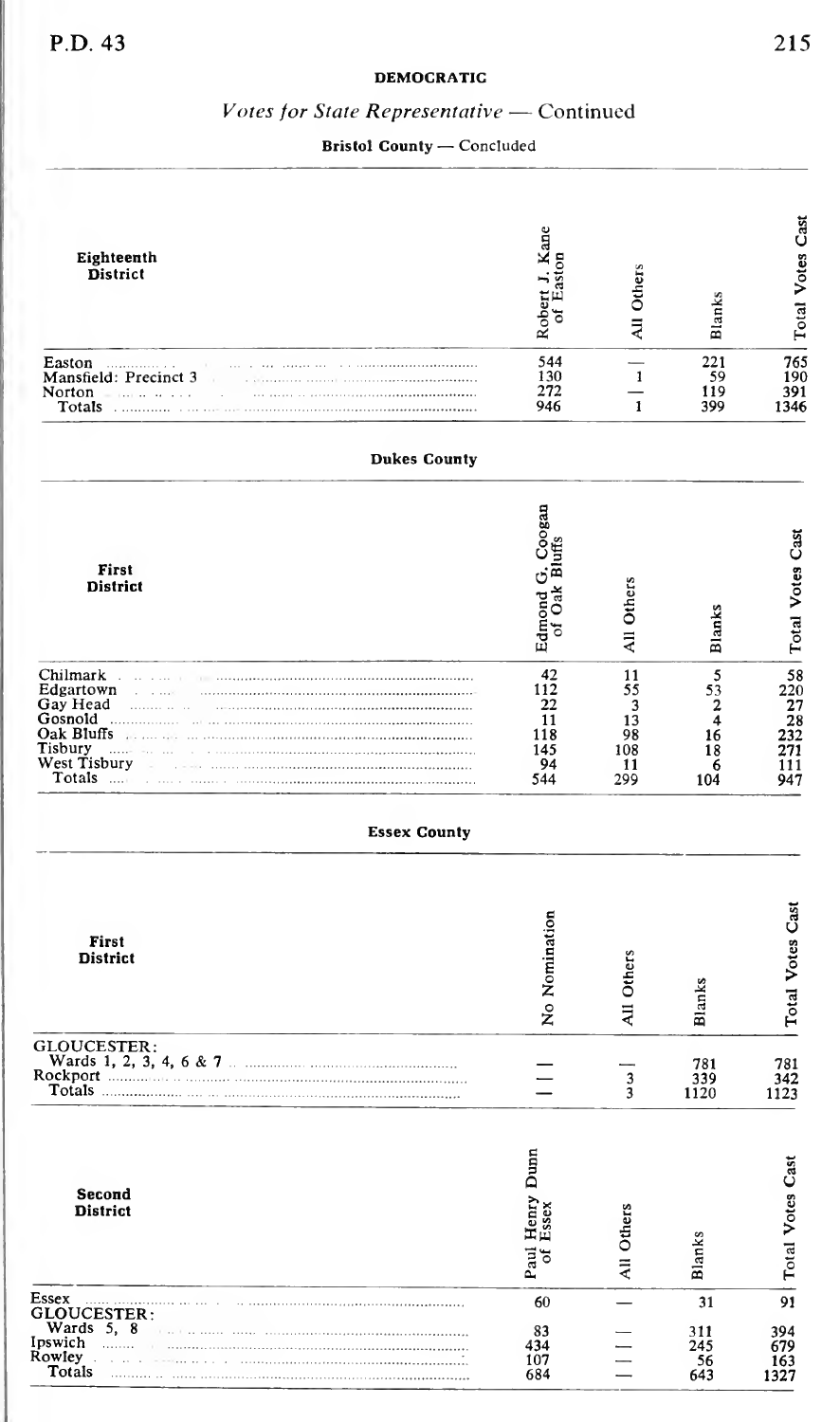## Votes for State Representative — Continued

Bristol County — Concluded

| Eighteenth<br>District                                                                                                                                                                                                                                                  | Robert J. Kane<br>of Easton                      | All Others                                           | <b>Blanks</b>                                  | Total Votes Cast                       |
|-------------------------------------------------------------------------------------------------------------------------------------------------------------------------------------------------------------------------------------------------------------------------|--------------------------------------------------|------------------------------------------------------|------------------------------------------------|----------------------------------------|
| Easton<br>and the state<br>Mansfield: Precinct 3<br>Norton<br>المتحامل وروده<br>Totals<br>a communication of the communication of the communication                                                                                                                     | 544<br>130<br>272<br>946                         | $\mathbf{1}$<br>$\mathbf{1}$                         | $\frac{221}{59}$<br>119<br>399                 | 765<br>190<br>391<br>1346              |
| <b>Dukes County</b>                                                                                                                                                                                                                                                     |                                                  |                                                      |                                                |                                        |
| First<br>District                                                                                                                                                                                                                                                       | Edmond G. Coogan<br>of Oak Bluffs                | All Others                                           | Blanks                                         | Potes Cast<br>2222782<br>232           |
| Chilmark .<br>Edgartown<br>$\sim$<br>Gay Head<br>$\sim$ and an $\sim$<br>Gosnold<br>.<br>Oak Bluffs<br>Tisbury<br>West Tisbury<br>Totals<br>$\sim$<br>and a conserva-                                                                                                   | 42<br>112<br>22<br>11<br>118<br>145<br>94<br>544 | 11<br>$\frac{55}{3}$<br>13<br>98<br>108<br>11<br>299 | $53$<br>$2$<br>$4$<br>$16$<br>$18$<br>6<br>104 | 271<br>111<br>947                      |
| <b>Essex County</b>                                                                                                                                                                                                                                                     |                                                  |                                                      |                                                |                                        |
| First<br><b>District</b>                                                                                                                                                                                                                                                | No Nomination                                    | All Others                                           | Blanks                                         | Total Votes Cast                       |
| GLOUCESTER:<br>Wards 1, 2, 3, 4, 6 & 7                                                                                                                                                                                                                                  |                                                  | $\frac{3}{3}$                                        | 781<br>339<br>1120                             | 781<br>342<br>1123                     |
| Second<br>District                                                                                                                                                                                                                                                      | Paul Henry Dunn<br>of Essex                      | All Others                                           | Blanks                                         | Total Votes Cast                       |
| Essex<br>the contract of the contract of the contract of the contract of the contract of<br>GLOUCESTER:<br>Wards 5, 8<br>Ipswich<br>Rowley<br>Totals<br>the contract of the contract of the contract of the contract of the contract of the contract of the contract of | 60<br>83<br>434<br>107<br>684                    |                                                      | 31<br>311<br>$\frac{245}{56}$<br>643           | 91<br>394<br>$\frac{679}{163}$<br>1327 |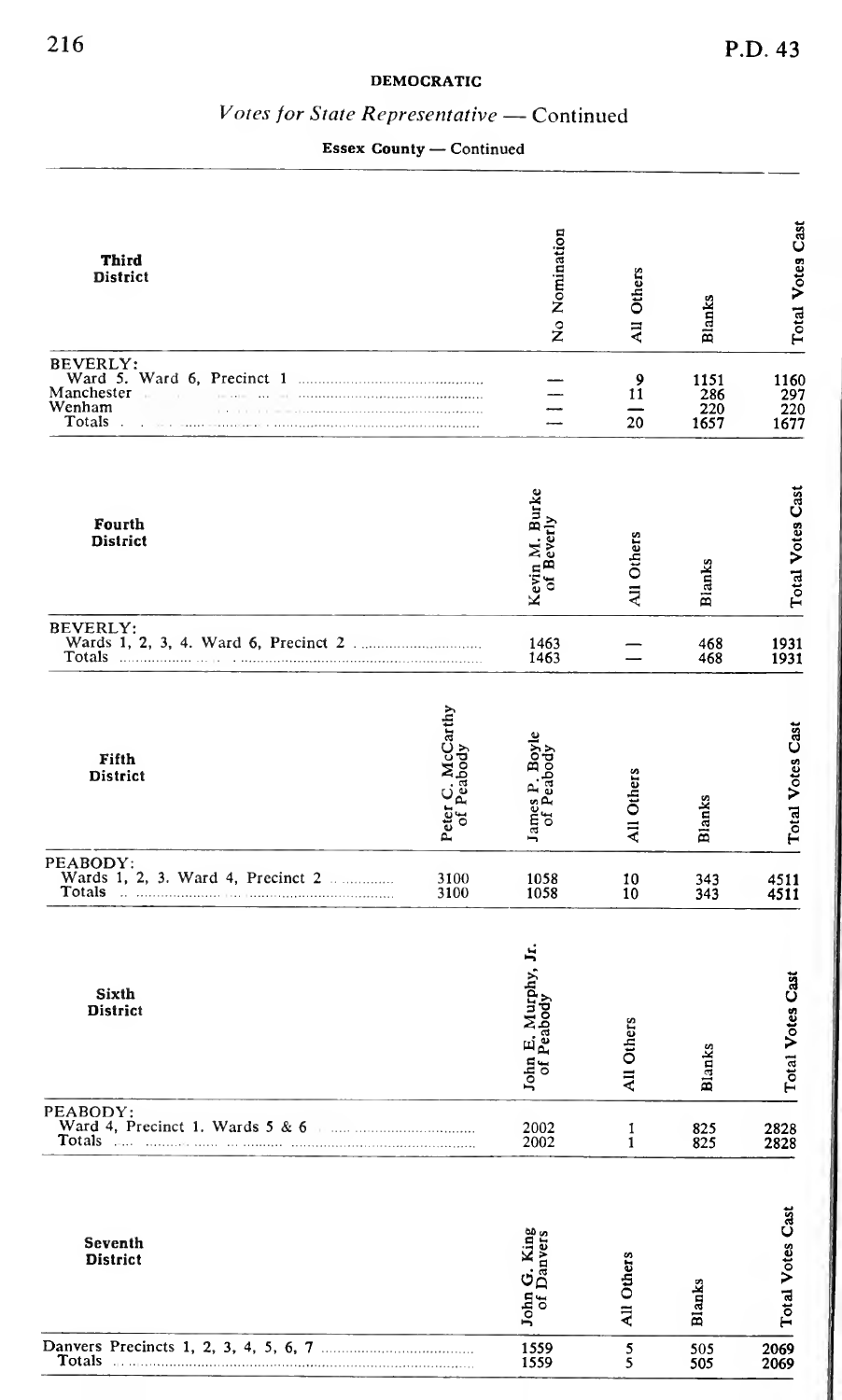## Votes for State Representative — Continued

Essex County — Continued

| <b>Third</b><br>District                                              |                                 | No Nomination                     | All Others                              | <b>Blanks</b>              | Total Votes Cast                                          |
|-----------------------------------------------------------------------|---------------------------------|-----------------------------------|-----------------------------------------|----------------------------|-----------------------------------------------------------|
| <b>BEVERLY:</b><br>Manchester<br>i.<br>the second<br>Wenham<br>Totals |                                 |                                   | 9<br>11<br>20                           | $\frac{1151}{286}$<br>1657 | $\begin{array}{c} 1160 \\ 297 \\ 220 \\ 1677 \end{array}$ |
| Fourth<br>District                                                    |                                 | Kevin M. Burke<br>of Beverly      | All Others                              | Blanks                     | <b>Total Votes Cast</b>                                   |
| <b>BEVERLY:</b>                                                       |                                 | 1463<br>1463                      |                                         | 468<br>468                 | 1931<br>1931                                              |
| Fifth<br>District                                                     | Peter C. McCarthy<br>of Peabody | James P. Boyle<br>Peabody         | All Others                              | Blanks                     | Total Votes Cast                                          |
| PEABODY:<br>Wards 1, 2, 3. Ward 4, Precinct 2<br>Totals               | 3100<br>3100                    | $\frac{1058}{1058}$               | $\begin{array}{c} 10 \\ 10 \end{array}$ | 343<br>343                 | 4511<br>4511                                              |
| Sixth<br>District                                                     |                                 | John E. Murphy, Jr.<br>of Peabody | All Others                              | <b>Blanks</b>              | Total Votes Cast                                          |
| PEABODY:                                                              |                                 | 2002<br>2002                      | 1<br>$\mathbf{1}$                       | 825<br>825                 | 2828<br>2828                                              |
| Seventh<br><b>District</b>                                            |                                 | John G. King<br>of Danvers        | All Others                              | Blanks                     | Total Votes Cast                                          |
| Totals                                                                |                                 | 1559<br>1559                      | $\frac{5}{5}$                           | 505<br>505                 | 2069<br>2069                                              |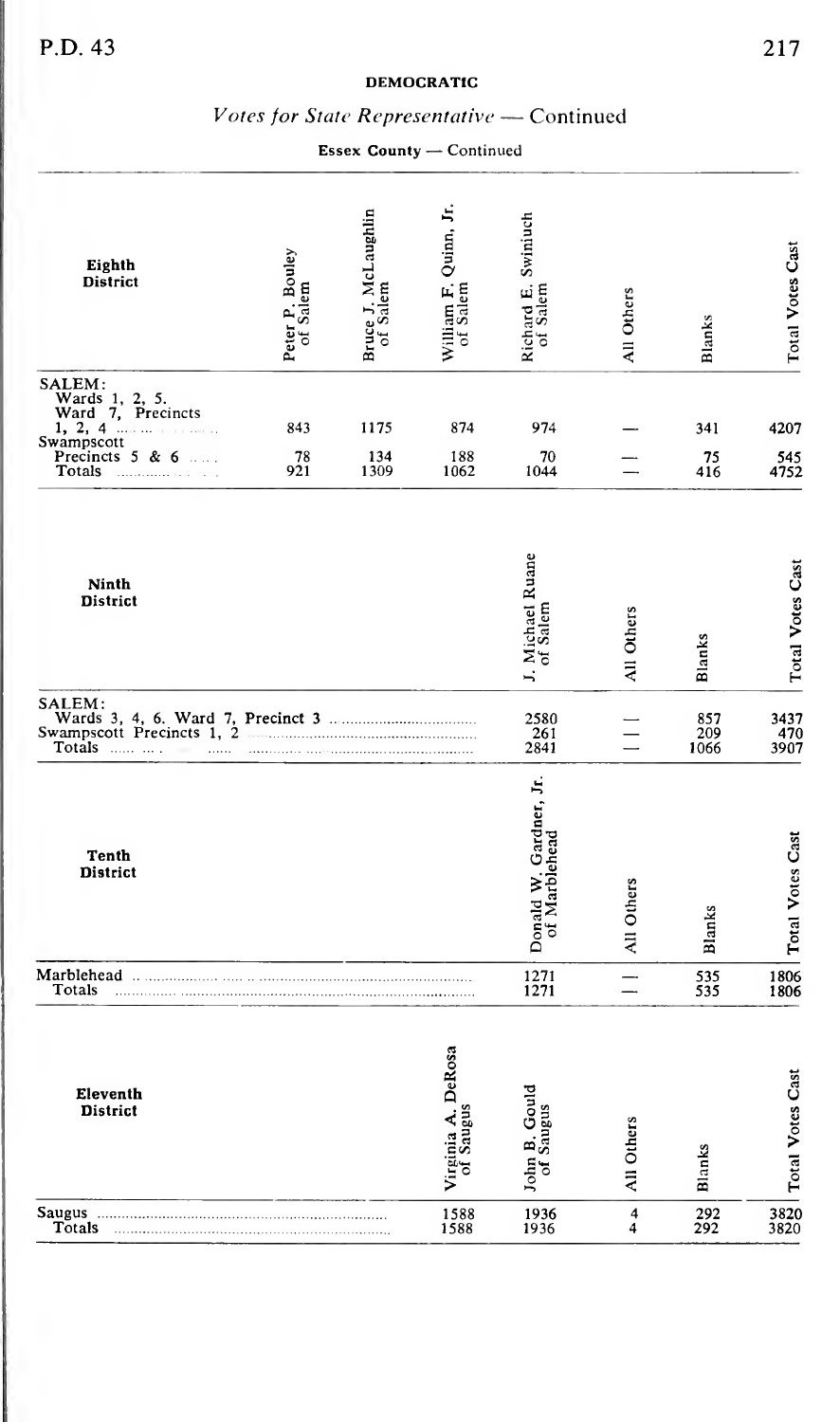## Votes for State Representative — Continued

| Essex County - Continued                                                                  |                             |                                 |                                   |                                                    |               |                           |                         |
|-------------------------------------------------------------------------------------------|-----------------------------|---------------------------------|-----------------------------------|----------------------------------------------------|---------------|---------------------------|-------------------------|
| Eighth<br><b>District</b>                                                                 | Peter P. Bouley<br>of Salem | Bruce J. McLaughlin<br>of Salem | William F. Quinn, Jr.<br>of Salem | Richard E. Swiniuch<br>of Salem                    | All Others    | Blanks                    | Total Votes Cast        |
| SALEM:<br>Wards 1, 2, 5.<br>Ward 7, Precincts<br>1, 2, 4<br>Swampscott<br>Precincts 5 & 6 | 843<br>$^{78}_{921}$        | 1175<br>134<br>1309             | 874<br>188<br>1062                | 974<br>70<br>1044                                  |               | 341<br>$^{75}_{416}$      | 4207<br>545<br>4752     |
| Ninth<br><b>District</b>                                                                  |                             |                                 |                                   | J. Michael Ruane<br>of Salem                       | All Others    | <b>Blanks</b>             | Total Votes Cast        |
| SALEM:<br>Totals<br>.                                                                     |                             |                                 |                                   | $\begin{array}{c} 2580 \\ 261 \\ 2841 \end{array}$ |               | $\frac{857}{209}$<br>1066 | 3437<br>470<br>3907     |
| <b>Tenth</b><br>District                                                                  |                             |                                 |                                   | Donald W. Gardner, Jr.<br>of Marblehead            | All Others    | <b>Blanks</b>             | Total Votes Cast        |
| Marblehead<br>Totals                                                                      |                             |                                 |                                   | $\frac{1271}{1271}$                                | Ξ.            | 535<br>535                | 1806<br>1806            |
| Eleventh<br>District                                                                      |                             |                                 | Virginia A. DeRosa<br>of Saugus   | John B. Gould<br>of Saugus                         | All Others    | <b>Blanks</b>             | <b>Total Votes Cast</b> |
| Saugus<br>Totals                                                                          |                             |                                 | 1588<br>1588                      | 1936<br>1936                                       | $\frac{4}{4}$ | 292<br>292                | 3820<br>3820            |